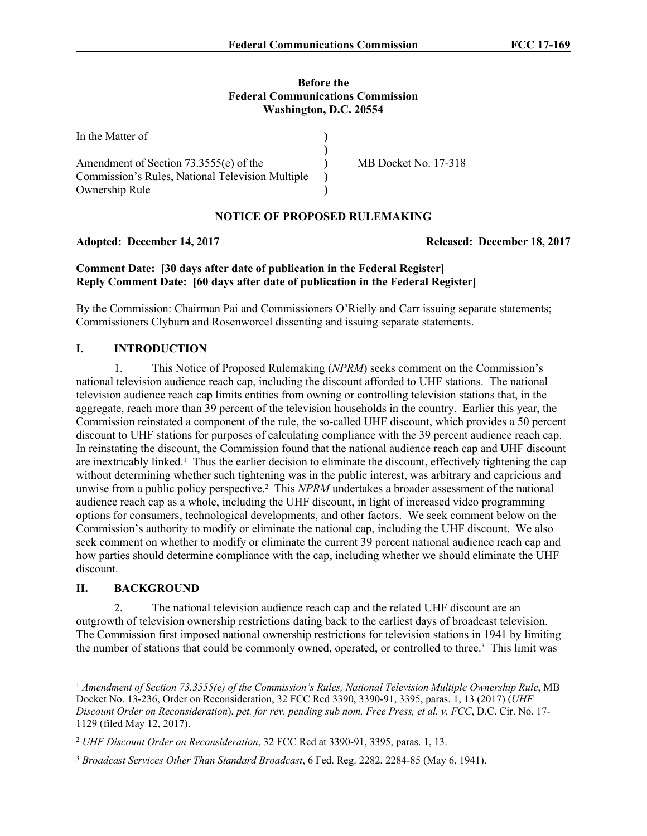# **Before the Federal Communications Commission Washington, D.C. 20554**

| In the Matter of                                 |                      |
|--------------------------------------------------|----------------------|
|                                                  |                      |
| Amendment of Section 73.3555(e) of the           | MB Docket No. 17-318 |
| Commission's Rules, National Television Multiple |                      |
| Ownership Rule                                   |                      |

## **NOTICE OF PROPOSED RULEMAKING**

Adopted: December 14, 2017 **Released: December 18, 2017** 

# **Comment Date: [30 days after date of publication in the Federal Register] Reply Comment Date: [60 days after date of publication in the Federal Register]**

By the Commission: Chairman Pai and Commissioners O'Rielly and Carr issuing separate statements; Commissioners Clyburn and Rosenworcel dissenting and issuing separate statements.

# **I. INTRODUCTION**

1. This Notice of Proposed Rulemaking (*NPRM*) seeks comment on the Commission's national television audience reach cap, including the discount afforded to UHF stations. The national television audience reach cap limits entities from owning or controlling television stations that, in the aggregate, reach more than 39 percent of the television households in the country. Earlier this year, the Commission reinstated a component of the rule, the so-called UHF discount, which provides a 50 percent discount to UHF stations for purposes of calculating compliance with the 39 percent audience reach cap. In reinstating the discount, the Commission found that the national audience reach cap and UHF discount are inextricably linked.<sup>1</sup> Thus the earlier decision to eliminate the discount, effectively tightening the cap without determining whether such tightening was in the public interest, was arbitrary and capricious and unwise from a public policy perspective.<sup>2</sup> This *NPRM* undertakes a broader assessment of the national audience reach cap as a whole, including the UHF discount, in light of increased video programming options for consumers, technological developments, and other factors. We seek comment below on the Commission's authority to modify or eliminate the national cap, including the UHF discount. We also seek comment on whether to modify or eliminate the current 39 percent national audience reach cap and how parties should determine compliance with the cap, including whether we should eliminate the UHF discount.

## **II. BACKGROUND**

2. The national television audience reach cap and the related UHF discount are an outgrowth of television ownership restrictions dating back to the earliest days of broadcast television. The Commission first imposed national ownership restrictions for television stations in 1941 by limiting the number of stations that could be commonly owned, operated, or controlled to three.<sup>3</sup> This limit was

<sup>1</sup> *Amendment of Section 73.3555(e) of the Commission's Rules, National Television Multiple Ownership Rule*, MB Docket No. 13-236, Order on Reconsideration, 32 FCC Rcd 3390, 3390-91, 3395, paras. 1, 13 (2017) (*UHF Discount Order on Reconsideration*), *pet. for rev. pending sub nom. Free Press, et al. v. FCC*, D.C. Cir. No. 17- 1129 (filed May 12, 2017).

<sup>2</sup> *UHF Discount Order on Reconsideration*, 32 FCC Rcd at 3390-91, 3395, paras. 1, 13.

<sup>3</sup> *Broadcast Services Other Than Standard Broadcast*, 6 Fed. Reg. 2282, 2284-85 (May 6, 1941).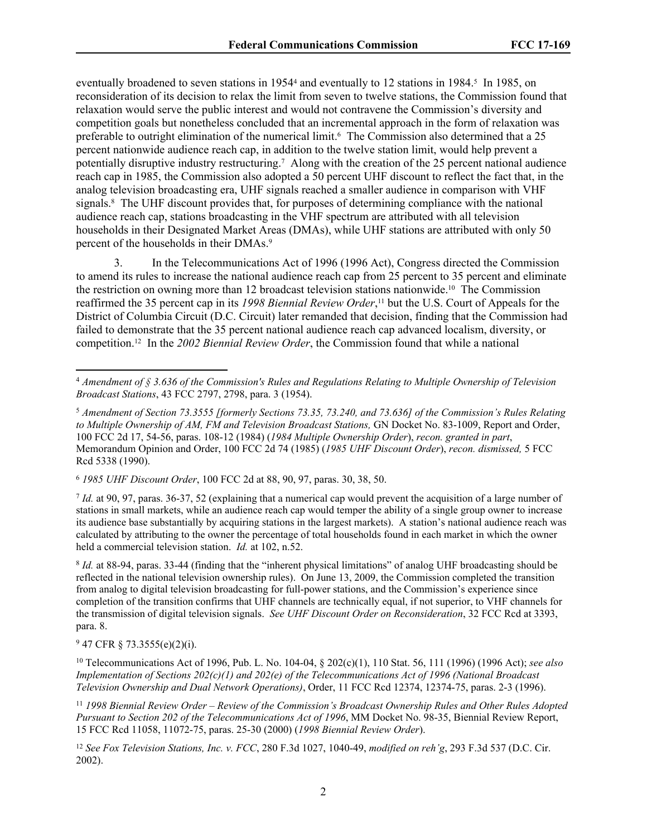eventually broadened to seven stations in 1954<sup>4</sup> and eventually to 12 stations in 1984.<sup>5</sup> In 1985, on reconsideration of its decision to relax the limit from seven to twelve stations, the Commission found that relaxation would serve the public interest and would not contravene the Commission's diversity and competition goals but nonetheless concluded that an incremental approach in the form of relaxation was preferable to outright elimination of the numerical limit.<sup>6</sup> The Commission also determined that a 25 percent nationwide audience reach cap, in addition to the twelve station limit, would help prevent a potentially disruptive industry restructuring.<sup>7</sup> Along with the creation of the 25 percent national audience reach cap in 1985, the Commission also adopted a 50 percent UHF discount to reflect the fact that, in the analog television broadcasting era, UHF signals reached a smaller audience in comparison with VHF signals.<sup>8</sup> The UHF discount provides that, for purposes of determining compliance with the national audience reach cap, stations broadcasting in the VHF spectrum are attributed with all television households in their Designated Market Areas (DMAs), while UHF stations are attributed with only 50 percent of the households in their DMAs.<sup>9</sup>

3. In the Telecommunications Act of 1996 (1996 Act), Congress directed the Commission to amend its rules to increase the national audience reach cap from 25 percent to 35 percent and eliminate the restriction on owning more than 12 broadcast television stations nationwide.<sup>10</sup> The Commission reaffirmed the 35 percent cap in its *1998 Biennial Review Order*, <sup>11</sup> but the U.S. Court of Appeals for the District of Columbia Circuit (D.C. Circuit) later remanded that decision, finding that the Commission had failed to demonstrate that the 35 percent national audience reach cap advanced localism, diversity, or competition.12 In the *2002 Biennial Review Order*, the Commission found that while a national

<sup>6</sup> *1985 UHF Discount Order*, 100 FCC 2d at 88, 90, 97, paras. 30, 38, 50.

7 *Id.* at 90, 97, paras. 36-37, 52 (explaining that a numerical cap would prevent the acquisition of a large number of stations in small markets, while an audience reach cap would temper the ability of a single group owner to increase its audience base substantially by acquiring stations in the largest markets). A station's national audience reach was calculated by attributing to the owner the percentage of total households found in each market in which the owner held a commercial television station. *Id.* at 102, n.52.

8 *Id.* at 88-94, paras. 33-44 (finding that the "inherent physical limitations" of analog UHF broadcasting should be reflected in the national television ownership rules). On June 13, 2009, the Commission completed the transition from analog to digital television broadcasting for full-power stations, and the Commission's experience since completion of the transition confirms that UHF channels are technically equal, if not superior, to VHF channels for the transmission of digital television signals. *See UHF Discount Order on Reconsideration*, 32 FCC Rcd at 3393, para. 8.

9 47 CFR § 73.3555(e)(2)(i).

<sup>10</sup> Telecommunications Act of 1996, Pub. L. No. 104-04, § 202(c)(1), 110 Stat. 56, 111 (1996) (1996 Act); *see also Implementation of Sections 202(c)(1) and 202(e) of the Telecommunications Act of 1996 (National Broadcast Television Ownership and Dual Network Operations)*, Order, 11 FCC Rcd 12374, 12374-75, paras. 2-3 (1996).

<sup>11</sup> *1998 Biennial Review Order* – *Review of the Commission's Broadcast Ownership Rules and Other Rules Adopted Pursuant to Section 202 of the Telecommunications Act of 1996*, MM Docket No. 98-35, Biennial Review Report, 15 FCC Rcd 11058, 11072-75, paras. 25-30 (2000) (*1998 Biennial Review Order*).

<sup>12</sup> *See Fox Television Stations, Inc. v. FCC*, 280 F.3d 1027, 1040-49, *modified on reh'g*, 293 F.3d 537 (D.C. Cir. 2002).

<sup>4</sup> *Amendment of § 3.636 of the Commission's Rules and Regulations Relating to Multiple Ownership of Television Broadcast Stations*, 43 FCC 2797, 2798, para. 3 (1954).

<sup>5</sup> *Amendment of Section 73.3555 [formerly Sections 73.35, 73.240, and 73.636] of the Commission's Rules Relating*  to Multiple Ownership of AM, FM and Television Broadcast Stations, GN Docket No. 83-1009, Report and Order, 100 FCC 2d 17, 54-56, paras. 108-12 (1984) (*1984 Multiple Ownership Order*), *recon. granted in part*, Memorandum Opinion and Order, 100 FCC 2d 74 (1985) (*1985 UHF Discount Order*), *recon. dismissed,* 5 FCC Rcd 5338 (1990).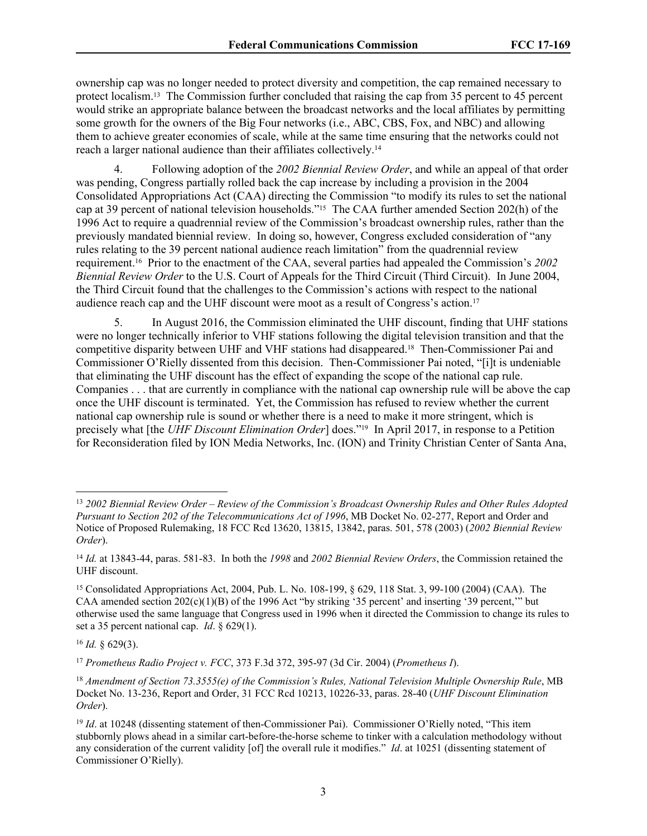ownership cap was no longer needed to protect diversity and competition, the cap remained necessary to protect localism.13 The Commission further concluded that raising the cap from 35 percent to 45 percent would strike an appropriate balance between the broadcast networks and the local affiliates by permitting some growth for the owners of the Big Four networks (i.e., ABC, CBS, Fox, and NBC) and allowing them to achieve greater economies of scale, while at the same time ensuring that the networks could not reach a larger national audience than their affiliates collectively.<sup>14</sup>

4. Following adoption of the *2002 Biennial Review Order*, and while an appeal of that order was pending, Congress partially rolled back the cap increase by including a provision in the 2004 Consolidated Appropriations Act (CAA) directing the Commission "to modify its rules to set the national cap at 39 percent of national television households."15 The CAA further amended Section 202(h) of the 1996 Act to require a quadrennial review of the Commission's broadcast ownership rules, rather than the previously mandated biennial review. In doing so, however, Congress excluded consideration of "any rules relating to the 39 percent national audience reach limitation" from the quadrennial review requirement.16 Prior to the enactment of the CAA, several parties had appealed the Commission's *2002 Biennial Review Order* to the U.S. Court of Appeals for the Third Circuit (Third Circuit). In June 2004, the Third Circuit found that the challenges to the Commission's actions with respect to the national audience reach cap and the UHF discount were moot as a result of Congress's action.<sup>17</sup>

5. In August 2016, the Commission eliminated the UHF discount, finding that UHF stations were no longer technically inferior to VHF stations following the digital television transition and that the competitive disparity between UHF and VHF stations had disappeared.18 Then-Commissioner Pai and Commissioner O'Rielly dissented from this decision. Then-Commissioner Pai noted, "[i]t is undeniable that eliminating the UHF discount has the effect of expanding the scope of the national cap rule. Companies . . . that are currently in compliance with the national cap ownership rule will be above the cap once the UHF discount is terminated. Yet, the Commission has refused to review whether the current national cap ownership rule is sound or whether there is a need to make it more stringent, which is precisely what [the *UHF Discount Elimination Order*] does."19 In April 2017, in response to a Petition for Reconsideration filed by ION Media Networks, Inc. (ION) and Trinity Christian Center of Santa Ana,

<sup>17</sup> *Prometheus Radio Project v. FCC*, 373 F.3d 372, 395-97 (3d Cir. 2004) (*Prometheus I*).

<sup>13</sup> *2002 Biennial Review Order* – *Review of the Commission's Broadcast Ownership Rules and Other Rules Adopted Pursuant to Section 202 of the Telecommunications Act of 1996*, MB Docket No. 02-277, Report and Order and Notice of Proposed Rulemaking, 18 FCC Rcd 13620, 13815, 13842, paras. 501, 578 (2003) (*2002 Biennial Review Order*).

<sup>14</sup> *Id.* at 13843-44, paras. 581-83. In both the *1998* and *2002 Biennial Review Orders*, the Commission retained the UHF discount.

<sup>15</sup> Consolidated Appropriations Act, 2004, Pub. L. No. 108-199, § 629, 118 Stat. 3, 99-100 (2004) (CAA). The CAA amended section 202(c)(1)(B) of the 1996 Act "by striking '35 percent' and inserting '39 percent,'" but otherwise used the same language that Congress used in 1996 when it directed the Commission to change its rules to set a 35 percent national cap. *Id*. § 629(1).

<sup>16</sup> *Id.* § 629(3).

<sup>18</sup> *Amendment of Section 73.3555(e) of the Commission's Rules, National Television Multiple Ownership Rule*, MB Docket No. 13-236, Report and Order, 31 FCC Rcd 10213, 10226-33, paras. 28-40 (*UHF Discount Elimination Order*).

<sup>&</sup>lt;sup>19</sup> *Id.* at 10248 (dissenting statement of then-Commissioner Pai). Commissioner O'Rielly noted, "This item stubbornly plows ahead in a similar cart-before-the-horse scheme to tinker with a calculation methodology without any consideration of the current validity [of] the overall rule it modifies." *Id*. at 10251 (dissenting statement of Commissioner O'Rielly).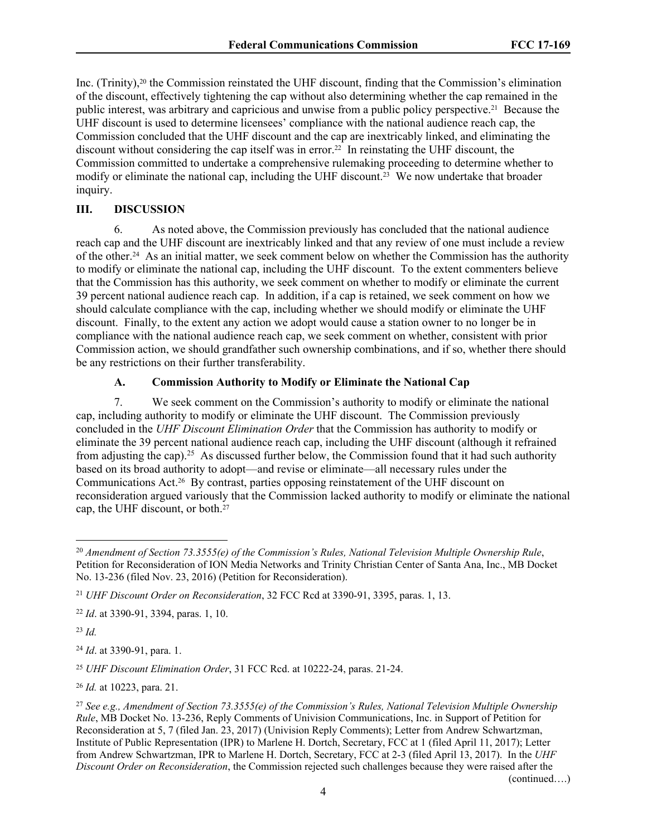Inc. (Trinity),20 the Commission reinstated the UHF discount, finding that the Commission's elimination of the discount, effectively tightening the cap without also determining whether the cap remained in the public interest, was arbitrary and capricious and unwise from a public policy perspective.21 Because the UHF discount is used to determine licensees' compliance with the national audience reach cap, the Commission concluded that the UHF discount and the cap are inextricably linked, and eliminating the discount without considering the cap itself was in error.22 In reinstating the UHF discount, the Commission committed to undertake a comprehensive rulemaking proceeding to determine whether to modify or eliminate the national cap, including the UHF discount.<sup>23</sup> We now undertake that broader inquiry.

### **III. DISCUSSION**

6. As noted above, the Commission previously has concluded that the national audience reach cap and the UHF discount are inextricably linked and that any review of one must include a review of the other.24 As an initial matter, we seek comment below on whether the Commission has the authority to modify or eliminate the national cap, including the UHF discount. To the extent commenters believe that the Commission has this authority, we seek comment on whether to modify or eliminate the current 39 percent national audience reach cap. In addition, if a cap is retained, we seek comment on how we should calculate compliance with the cap, including whether we should modify or eliminate the UHF discount. Finally, to the extent any action we adopt would cause a station owner to no longer be in compliance with the national audience reach cap, we seek comment on whether, consistent with prior Commission action, we should grandfather such ownership combinations, and if so, whether there should be any restrictions on their further transferability.

### **A. Commission Authority to Modify or Eliminate the National Cap**

7. We seek comment on the Commission's authority to modify or eliminate the national cap, including authority to modify or eliminate the UHF discount. The Commission previously concluded in the *UHF Discount Elimination Order* that the Commission has authority to modify or eliminate the 39 percent national audience reach cap, including the UHF discount (although it refrained from adjusting the cap).<sup>25</sup> As discussed further below, the Commission found that it had such authority based on its broad authority to adopt—and revise or eliminate—all necessary rules under the Communications Act.26 By contrast, parties opposing reinstatement of the UHF discount on reconsideration argued variously that the Commission lacked authority to modify or eliminate the national cap, the UHF discount, or both.<sup>27</sup>

<sup>23</sup> *Id.*

<sup>24</sup> *Id*. at 3390-91, para. 1.

<sup>25</sup> *UHF Discount Elimination Order*, 31 FCC Rcd. at 10222-24, paras. 21-24.

<sup>26</sup> *Id.* at 10223, para. 21.

(continued….)

<sup>20</sup> *Amendment of Section 73.3555(e) of the Commission's Rules, National Television Multiple Ownership Rule*, Petition for Reconsideration of ION Media Networks and Trinity Christian Center of Santa Ana, Inc., MB Docket No. 13-236 (filed Nov. 23, 2016) (Petition for Reconsideration).

<sup>21</sup> *UHF Discount Order on Reconsideration*, 32 FCC Rcd at 3390-91, 3395, paras. 1, 13.

<sup>22</sup> *Id*. at 3390-91, 3394, paras. 1, 10.

<sup>27</sup> *See e.g., Amendment of Section 73.3555(e) of the Commission's Rules, National Television Multiple Ownership Rule*, MB Docket No. 13-236, Reply Comments of Univision Communications, Inc. in Support of Petition for Reconsideration at 5, 7 (filed Jan. 23, 2017) (Univision Reply Comments); Letter from Andrew Schwartzman, Institute of Public Representation (IPR) to Marlene H. Dortch, Secretary, FCC at 1 (filed April 11, 2017); Letter from Andrew Schwartzman, IPR to Marlene H. Dortch, Secretary, FCC at 2-3 (filed April 13, 2017). In the *UHF Discount Order on Reconsideration*, the Commission rejected such challenges because they were raised after the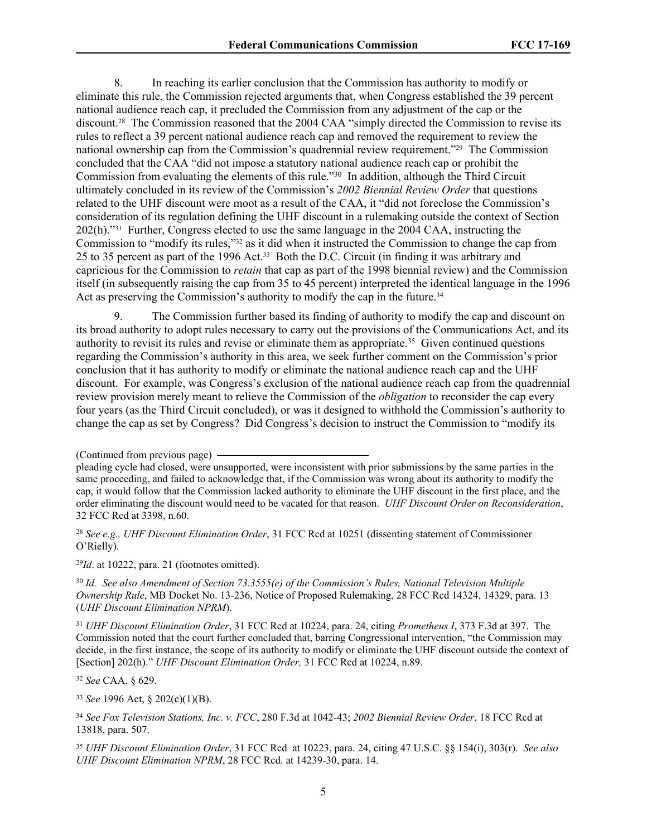8. In reaching its earlier conclusion that the Commission has authority to modify or eliminate this rule, the Commission rejected arguments that, when Congress established the 39 percent national audience reach cap, it precluded the Commission from any adjustment of the cap or the discount.<sup>28</sup> The Commission reasoned that the 2004 CAA "simply directed the Commission to revise its rules to reflect a 39 percent national audience reach cap and removed the requirement to review the national ownership cap from the Commission's quadrennial review requirement."29 The Commission concluded that the CAA "did not impose a statutory national audience reach cap or prohibit the Commission from evaluating the elements of this rule."<sup>30</sup> In addition, although the Third Circuit ultimately concluded in its review of the Commission's *2002 Biennial Review Order* that questions related to the UHF discount were moot as a result of the CAA, it "did not foreclose the Commission's consideration of its regulation defining the UHF discount in a rulemaking outside the context of Section 202(h)."31 Further, Congress elected to use the same language in the 2004 CAA, instructing the Commission to "modify its rules,"32 as it did when it instructed the Commission to change the cap from 25 to 35 percent as part of the 1996 Act.33 Both the D.C. Circuit (in finding it was arbitrary and capricious for the Commission to *retain* that cap as part of the 1998 biennial review) and the Commission itself (in subsequently raising the cap from 35 to 45 percent) interpreted the identical language in the 1996 Act as preserving the Commission's authority to modify the cap in the future.<sup>34</sup>

9. The Commission further based its finding of authority to modify the cap and discount on its broad authority to adopt rules necessary to carry out the provisions of the Communications Act, and its authority to revisit its rules and revise or eliminate them as appropriate.<sup>35</sup> Given continued questions regarding the Commission's authority in this area, we seek further comment on the Commission's prior conclusion that it has authority to modify or eliminate the national audience reach cap and the UHF discount. For example, was Congress's exclusion of the national audience reach cap from the quadrennial review provision merely meant to relieve the Commission of the *obligation* to reconsider the cap every four years (as the Third Circuit concluded), or was it designed to withhold the Commission's authority to change the cap as set by Congress? Did Congress's decision to instruct the Commission to "modify its

<sup>29</sup>*Id*. at 10222, para. 21 (footnotes omitted).

<sup>30</sup> *Id. See also Amendment of Section 73.3555(e) of the Commission's Rules, National Television Multiple Ownership Rule*, MB Docket No. 13-236, Notice of Proposed Rulemaking, 28 FCC Rcd 14324, 14329, para. 13 (*UHF Discount Elimination NPRM*).

<sup>31</sup> *UHF Discount Elimination Order*, 31 FCC Rcd at 10224, para. 24, citing *Prometheus I*, 373 F.3d at 397. The Commission noted that the court further concluded that, barring Congressional intervention, "the Commission may decide, in the first instance, the scope of its authority to modify or eliminate the UHF discount outside the context of [Section] 202(h)." *UHF Discount Elimination Order,* 31 FCC Rcd at 10224, n.89.

<sup>32</sup> *See* CAA, § 629.

<sup>33</sup> *See* 1996 Act, § 202(c)(1)(B).

<sup>(</sup>Continued from previous page)

pleading cycle had closed, were unsupported, were inconsistent with prior submissions by the same parties in the same proceeding, and failed to acknowledge that, if the Commission was wrong about its authority to modify the cap, it would follow that the Commission lacked authority to eliminate the UHF discount in the first place, and the order eliminating the discount would need to be vacated for that reason. *UHF Discount Order on Reconsideration*, 32 FCC Rcd at 3398, n.60.

<sup>28</sup> *See e.g., UHF Discount Elimination Order*, 31 FCC Rcd at 10251 (dissenting statement of Commissioner O'Rielly).

<sup>34</sup> *See Fox Television Stations, Inc. v. FCC*, 280 F.3d at 1042-43; *2002 Biennial Review Order*, 18 FCC Rcd at 13818, para. 507.

<sup>35</sup> *UHF Discount Elimination Order*, 31 FCC Rcd at 10223, para. 24, citing 47 U.S.C. §§ 154(i), 303(r). *See also UHF Discount Elimination NPRM*, 28 FCC Rcd. at 14239-30, para. 14.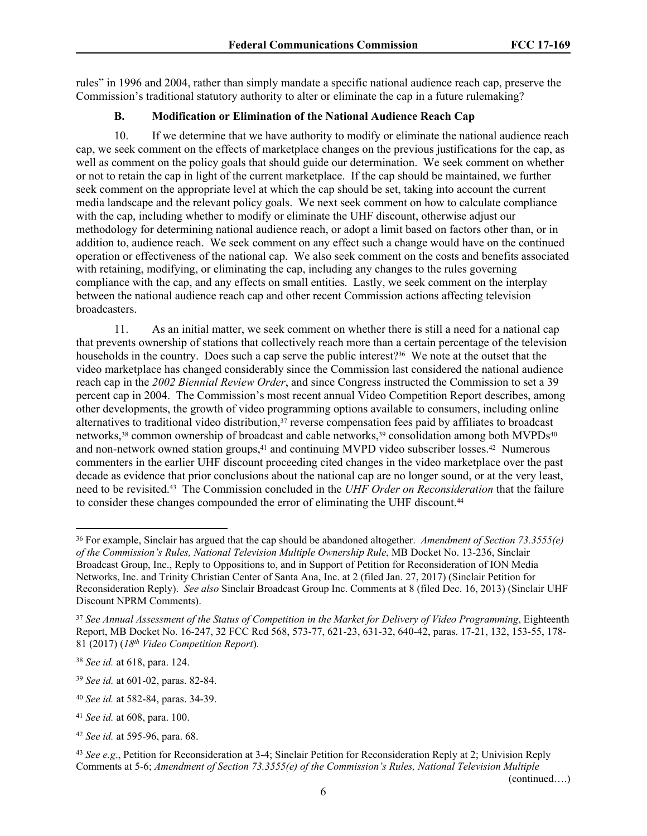rules" in 1996 and 2004, rather than simply mandate a specific national audience reach cap, preserve the Commission's traditional statutory authority to alter or eliminate the cap in a future rulemaking?

## **B. Modification or Elimination of the National Audience Reach Cap**

10. If we determine that we have authority to modify or eliminate the national audience reach cap, we seek comment on the effects of marketplace changes on the previous justifications for the cap, as well as comment on the policy goals that should guide our determination. We seek comment on whether or not to retain the cap in light of the current marketplace. If the cap should be maintained, we further seek comment on the appropriate level at which the cap should be set, taking into account the current media landscape and the relevant policy goals. We next seek comment on how to calculate compliance with the cap, including whether to modify or eliminate the UHF discount, otherwise adjust our methodology for determining national audience reach, or adopt a limit based on factors other than, or in addition to, audience reach. We seek comment on any effect such a change would have on the continued operation or effectiveness of the national cap. We also seek comment on the costs and benefits associated with retaining, modifying, or eliminating the cap, including any changes to the rules governing compliance with the cap, and any effects on small entities. Lastly, we seek comment on the interplay between the national audience reach cap and other recent Commission actions affecting television broadcasters.

11. As an initial matter, we seek comment on whether there is still a need for a national cap that prevents ownership of stations that collectively reach more than a certain percentage of the television households in the country. Does such a cap serve the public interest?<sup>36</sup> We note at the outset that the video marketplace has changed considerably since the Commission last considered the national audience reach cap in the *2002 Biennial Review Order*, and since Congress instructed the Commission to set a 39 percent cap in 2004. The Commission's most recent annual Video Competition Report describes, among other developments, the growth of video programming options available to consumers, including online alternatives to traditional video distribution,<sup>37</sup> reverse compensation fees paid by affiliates to broadcast networks,<sup>38</sup> common ownership of broadcast and cable networks,<sup>39</sup> consolidation among both MVPDs<sup>40</sup> and non-network owned station groups,  $41$  and continuing MVPD video subscriber losses.  $42$  Numerous commenters in the earlier UHF discount proceeding cited changes in the video marketplace over the past decade as evidence that prior conclusions about the national cap are no longer sound, or at the very least, need to be revisited.43 The Commission concluded in the *UHF Order on Reconsideration* that the failure to consider these changes compounded the error of eliminating the UHF discount.<sup>44</sup>

(continued….)

<sup>36</sup> For example, Sinclair has argued that the cap should be abandoned altogether. *Amendment of Section 73.3555(e) of the Commission's Rules, National Television Multiple Ownership Rule*, MB Docket No. 13-236, Sinclair Broadcast Group, Inc., Reply to Oppositions to, and in Support of Petition for Reconsideration of ION Media Networks, Inc. and Trinity Christian Center of Santa Ana, Inc. at 2 (filed Jan. 27, 2017) (Sinclair Petition for Reconsideration Reply). *See also* Sinclair Broadcast Group Inc. Comments at 8 (filed Dec. 16, 2013) (Sinclair UHF Discount NPRM Comments).

<sup>37</sup> *See Annual Assessment of the Status of Competition in the Market for Delivery of Video Programming*, Eighteenth Report, MB Docket No. 16-247, 32 FCC Rcd 568, 573-77, 621-23, 631-32, 640-42, paras. 17-21, 132, 153-55, 178- 81 (2017) (*18th Video Competition Report*).

<sup>38</sup> *See id.* at 618, para. 124.

<sup>39</sup> *See id.* at 601-02, paras. 82-84.

<sup>40</sup> *See id.* at 582-84, paras. 34-39.

<sup>41</sup> *See id.* at 608, para. 100.

<sup>42</sup> *See id.* at 595-96, para. 68.

<sup>43</sup> *See e.g*., Petition for Reconsideration at 3-4; Sinclair Petition for Reconsideration Reply at 2; Univision Reply Comments at 5-6; *Amendment of Section 73.3555(e) of the Commission's Rules, National Television Multiple*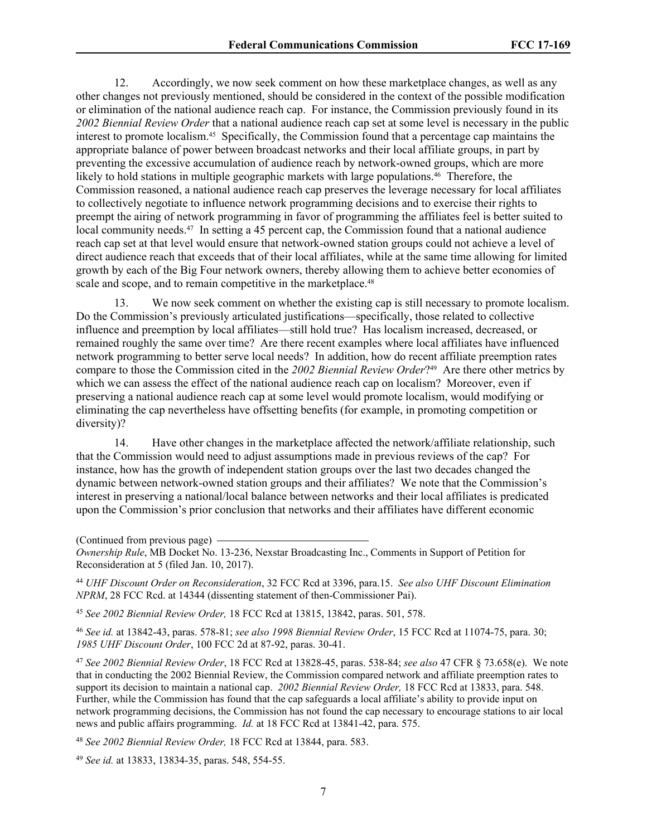12. Accordingly, we now seek comment on how these marketplace changes, as well as any other changes not previously mentioned, should be considered in the context of the possible modification or elimination of the national audience reach cap. For instance, the Commission previously found in its *2002 Biennial Review Order* that a national audience reach cap set at some level is necessary in the public interest to promote localism.45 Specifically, the Commission found that a percentage cap maintains the appropriate balance of power between broadcast networks and their local affiliate groups, in part by preventing the excessive accumulation of audience reach by network-owned groups, which are more likely to hold stations in multiple geographic markets with large populations.46 Therefore, the Commission reasoned, a national audience reach cap preserves the leverage necessary for local affiliates to collectively negotiate to influence network programming decisions and to exercise their rights to preempt the airing of network programming in favor of programming the affiliates feel is better suited to local community needs.<sup>47</sup> In setting a 45 percent cap, the Commission found that a national audience reach cap set at that level would ensure that network-owned station groups could not achieve a level of direct audience reach that exceeds that of their local affiliates, while at the same time allowing for limited growth by each of the Big Four network owners, thereby allowing them to achieve better economies of scale and scope, and to remain competitive in the marketplace.<sup>48</sup>

13. We now seek comment on whether the existing cap is still necessary to promote localism. Do the Commission's previously articulated justifications—specifically, those related to collective influence and preemption by local affiliates—still hold true? Has localism increased, decreased, or remained roughly the same over time? Are there recent examples where local affiliates have influenced network programming to better serve local needs? In addition, how do recent affiliate preemption rates compare to those the Commission cited in the *2002 Biennial Review Order*? <sup>49</sup> Are there other metrics by which we can assess the effect of the national audience reach cap on localism? Moreover, even if preserving a national audience reach cap at some level would promote localism, would modifying or eliminating the cap nevertheless have offsetting benefits (for example, in promoting competition or diversity)?

<span id="page-6-0"></span>14. Have other changes in the marketplace affected the network/affiliate relationship, such that the Commission would need to adjust assumptions made in previous reviews of the cap? For instance, how has the growth of independent station groups over the last two decades changed the dynamic between network-owned station groups and their affiliates? We note that the Commission's interest in preserving a national/local balance between networks and their local affiliates is predicated upon the Commission's prior conclusion that networks and their affiliates have different economic

(Continued from previous page)

*Ownership Rule*, MB Docket No. 13-236, Nexstar Broadcasting Inc., Comments in Support of Petition for Reconsideration at 5 (filed Jan. 10, 2017).

<sup>44</sup> *UHF Discount Order on Reconsideration*, 32 FCC Rcd at 3396, para.15. *See also UHF Discount Elimination NPRM*, 28 FCC Rcd. at 14344 (dissenting statement of then-Commissioner Pai).

<sup>45</sup> *See 2002 Biennial Review Order,* 18 FCC Rcd at 13815, 13842, paras. 501, 578.

<sup>46</sup> *See id.* at 13842-43, paras. 578-81; *see also 1998 Biennial Review Order*, 15 FCC Rcd at 11074-75, para. 30; *1985 UHF Discount Order*, 100 FCC 2d at 87-92, paras. 30-41.

<sup>47</sup> *See 2002 Biennial Review Order*, 18 FCC Rcd at 13828-45, paras. 538-84; *see also* 47 CFR § 73.658(e). We note that in conducting the 2002 Biennial Review, the Commission compared network and affiliate preemption rates to support its decision to maintain a national cap. *2002 Biennial Review Order,* 18 FCC Rcd at 13833, para. 548. Further, while the Commission has found that the cap safeguards a local affiliate's ability to provide input on network programming decisions, the Commission has not found the cap necessary to encourage stations to air local news and public affairs programming. *Id.* at 18 FCC Rcd at 13841-42, para. 575.

<sup>48</sup> *See 2002 Biennial Review Order,* 18 FCC Rcd at 13844, para. 583.

<sup>49</sup> *See id.* at 13833, 13834-35, paras. 548, 554-55.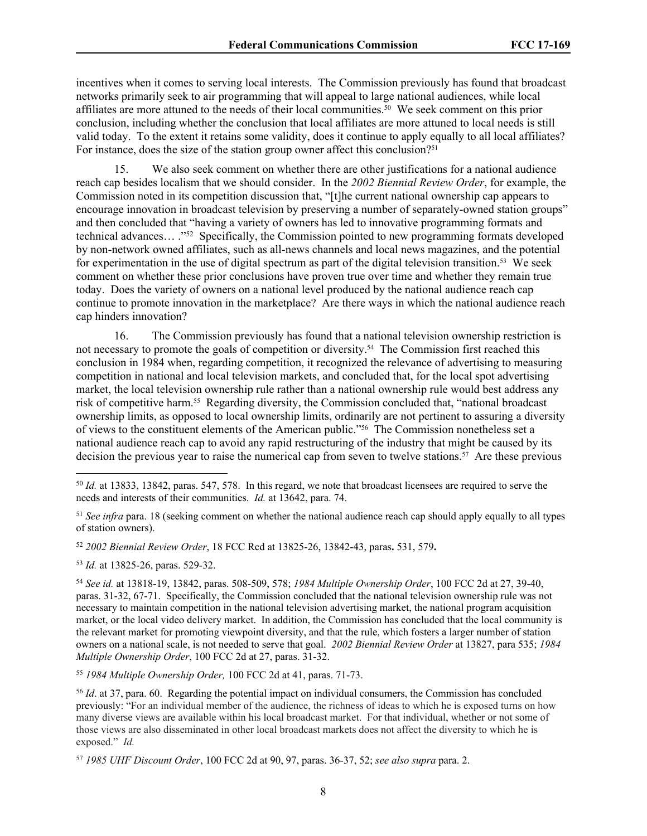incentives when it comes to serving local interests. The Commission previously has found that broadcast networks primarily seek to air programming that will appeal to large national audiences, while local affiliates are more attuned to the needs of their local communities.50 We seek comment on this prior conclusion, including whether the conclusion that local affiliates are more attuned to local needs is still valid today. To the extent it retains some validity, does it continue to apply equally to all local affiliates? For instance, does the size of the station group owner affect this conclusion?<sup>51</sup>

15. We also seek comment on whether there are other justifications for a national audience reach cap besides localism that we should consider. In the *2002 Biennial Review Order*, for example, the Commission noted in its competition discussion that, "[t]he current national ownership cap appears to encourage innovation in broadcast television by preserving a number of separately-owned station groups" and then concluded that "having a variety of owners has led to innovative programming formats and technical advances… ."<sup>52</sup> Specifically, the Commission pointed to new programming formats developed by non-network owned affiliates, such as all-news channels and local news magazines, and the potential for experimentation in the use of digital spectrum as part of the digital television transition.<sup>53</sup> We seek comment on whether these prior conclusions have proven true over time and whether they remain true today. Does the variety of owners on a national level produced by the national audience reach cap continue to promote innovation in the marketplace? Are there ways in which the national audience reach cap hinders innovation?

16. The Commission previously has found that a national television ownership restriction is not necessary to promote the goals of competition or diversity.54 The Commission first reached this conclusion in 1984 when, regarding competition, it recognized the relevance of advertising to measuring competition in national and local television markets, and concluded that, for the local spot advertising market, the local television ownership rule rather than a national ownership rule would best address any risk of competitive harm.55 Regarding diversity, the Commission concluded that, "national broadcast ownership limits, as opposed to local ownership limits, ordinarily are not pertinent to assuring a diversity of views to the constituent elements of the American public."56 The Commission nonetheless set a national audience reach cap to avoid any rapid restructuring of the industry that might be caused by its decision the previous year to raise the numerical cap from seven to twelve stations.57 Are these previous

<sup>52</sup> *2002 Biennial Review Order*, 18 FCC Rcd at 13825-26, 13842-43, paras**.** 531, 579**.**

<sup>53</sup> *Id.* at 13825-26, paras. 529-32.

<sup>55</sup> *1984 Multiple Ownership Order,* 100 FCC 2d at 41, paras. 71-73.

<sup>50</sup> *Id.* at 13833, 13842, paras. 547, 578. In this regard, we note that broadcast licensees are required to serve the needs and interests of their communities. *Id.* at 13642, para. 74.

<sup>51</sup> *See infra* para. [18](#page-8-0) (seeking comment on whether the national audience reach cap should apply equally to all types of station owners).

<sup>54</sup> *See id.* at 13818-19, 13842, paras. 508-509, 578; *1984 Multiple Ownership Order*, 100 FCC 2d at 27, 39-40, paras. 31-32, 67-71. Specifically, the Commission concluded that the national television ownership rule was not necessary to maintain competition in the national television advertising market, the national program acquisition market, or the local video delivery market. In addition, the Commission has concluded that the local community is the relevant market for promoting viewpoint diversity, and that the rule, which fosters a larger number of station owners on a national scale, is not needed to serve that goal. *2002 Biennial Review Order* at 13827, para 535; *1984 Multiple Ownership Order*, 100 FCC 2d at 27, paras. 31-32.

<sup>56</sup> *Id*. at 37, para. 60. Regarding the potential impact on individual consumers, the Commission has concluded previously: "For an individual member of the audience, the richness of ideas to which he is exposed turns on how many diverse views are available within his local broadcast market. For that individual, whether or not some of those views are also disseminated in other local broadcast markets does not affect the diversity to which he is exposed." *Id.*

<sup>57</sup> *1985 UHF Discount Order*, 100 FCC 2d at 90, 97, paras. 36-37, 52; *see also supra* para. 2.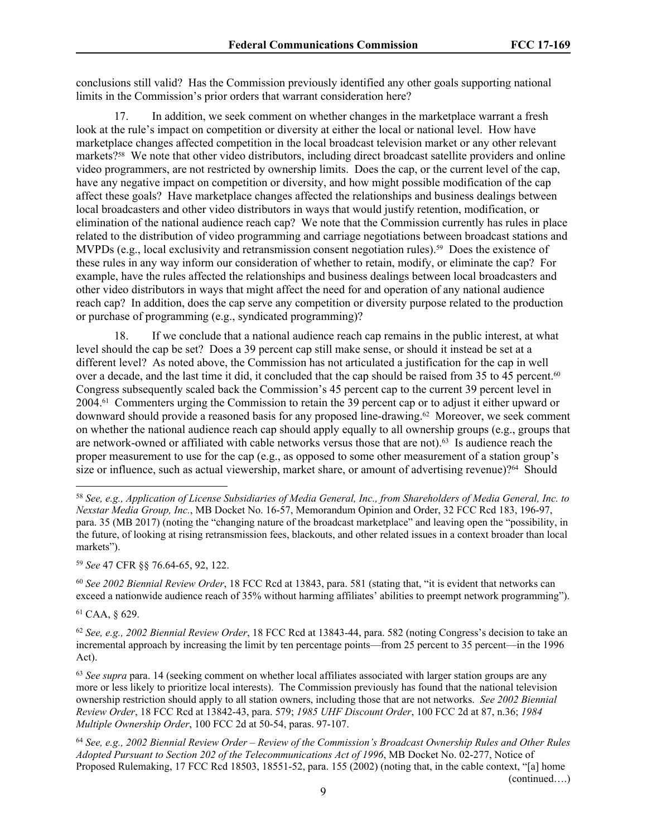conclusions still valid? Has the Commission previously identified any other goals supporting national limits in the Commission's prior orders that warrant consideration here?

17. In addition, we seek comment on whether changes in the marketplace warrant a fresh look at the rule's impact on competition or diversity at either the local or national level. How have marketplace changes affected competition in the local broadcast television market or any other relevant markets?<sup>58</sup> We note that other video distributors, including direct broadcast satellite providers and online video programmers, are not restricted by ownership limits. Does the cap, or the current level of the cap, have any negative impact on competition or diversity, and how might possible modification of the cap affect these goals? Have marketplace changes affected the relationships and business dealings between local broadcasters and other video distributors in ways that would justify retention, modification, or elimination of the national audience reach cap? We note that the Commission currently has rules in place related to the distribution of video programming and carriage negotiations between broadcast stations and MVPDs (e.g., local exclusivity and retransmission consent negotiation rules).<sup>59</sup> Does the existence of these rules in any way inform our consideration of whether to retain, modify, or eliminate the cap? For example, have the rules affected the relationships and business dealings between local broadcasters and other video distributors in ways that might affect the need for and operation of any national audience reach cap? In addition, does the cap serve any competition or diversity purpose related to the production or purchase of programming (e.g., syndicated programming)?

<span id="page-8-0"></span>18. If we conclude that a national audience reach cap remains in the public interest, at what level should the cap be set? Does a 39 percent cap still make sense, or should it instead be set at a different level? As noted above, the Commission has not articulated a justification for the cap in well over a decade, and the last time it did, it concluded that the cap should be raised from 35 to 45 percent.<sup>60</sup> Congress subsequently scaled back the Commission's 45 percent cap to the current 39 percent level in 2004.61 Commenters urging the Commission to retain the 39 percent cap or to adjust it either upward or downward should provide a reasoned basis for any proposed line-drawing.62 Moreover, we seek comment on whether the national audience reach cap should apply equally to all ownership groups (e.g., groups that are network-owned or affiliated with cable networks versus those that are not).63 Is audience reach the proper measurement to use for the cap (e.g., as opposed to some other measurement of a station group's size or influence, such as actual viewership, market share, or amount of advertising revenue)?<sup>64</sup> Should

<sup>59</sup> *See* 47 CFR §§ 76.64-65, 92, 122.

<sup>60</sup> *See 2002 Biennial Review Order*, 18 FCC Rcd at 13843, para. 581 (stating that, "it is evident that networks can exceed a nationwide audience reach of 35% without harming affiliates' abilities to preempt network programming").

<sup>61</sup> CAA, § 629.

<sup>62</sup> *See, e.g., 2002 Biennial Review Order*, 18 FCC Rcd at 13843-44, para. 582 (noting Congress's decision to take an incremental approach by increasing the limit by ten percentage points—from 25 percent to 35 percent—in the 1996 Act).

<sup>63</sup> *See supra* para. [14](#page-6-0) (seeking comment on whether local affiliates associated with larger station groups are any more or less likely to prioritize local interests). The Commission previously has found that the national television ownership restriction should apply to all station owners, including those that are not networks. *See 2002 Biennial Review Order*, 18 FCC Rcd at 13842-43, para. 579; *1985 UHF Discount Order*, 100 FCC 2d at 87, n.36; *1984 Multiple Ownership Order*, 100 FCC 2d at 50-54, paras. 97-107.

<sup>64</sup> *See, e.g., 2002 Biennial Review Order* – *Review of the Commission's Broadcast Ownership Rules and Other Rules Adopted Pursuant to Section 202 of the Telecommunications Act of 1996*, MB Docket No. 02-277, Notice of Proposed Rulemaking, 17 FCC Rcd 18503, 18551-52, para. 155 (2002) (noting that, in the cable context, "[a] home (continued….)

<sup>58</sup> *See, e.g., Application of License Subsidiaries of Media General, Inc., from Shareholders of Media General, Inc. to Nexstar Media Group, Inc.*, MB Docket No. 16-57, Memorandum Opinion and Order, 32 FCC Rcd 183, 196-97, para. 35 (MB 2017) (noting the "changing nature of the broadcast marketplace" and leaving open the "possibility, in the future, of looking at rising retransmission fees, blackouts, and other related issues in a context broader than local markets").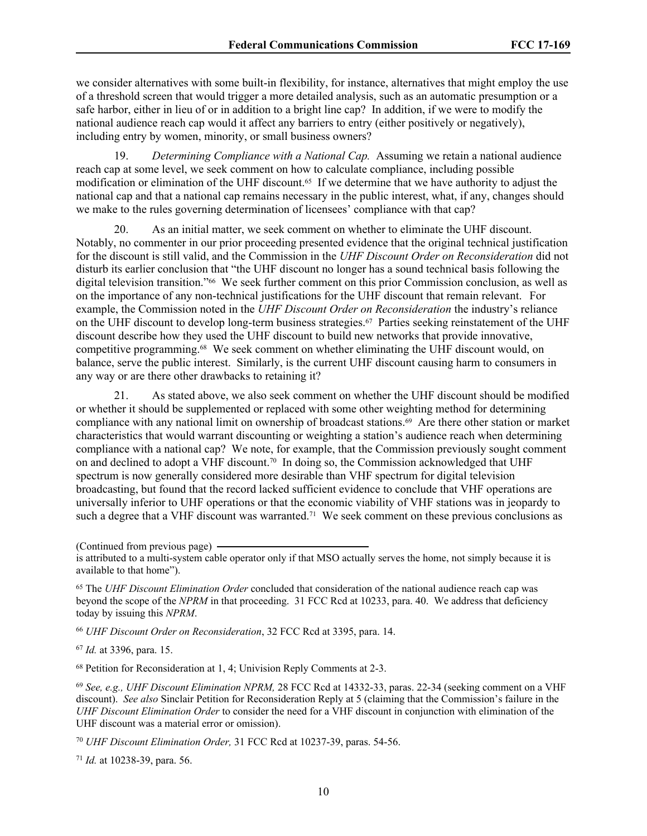we consider alternatives with some built-in flexibility, for instance, alternatives that might employ the use of a threshold screen that would trigger a more detailed analysis, such as an automatic presumption or a safe harbor, either in lieu of or in addition to a bright line cap? In addition, if we were to modify the national audience reach cap would it affect any barriers to entry (either positively or negatively), including entry by women, minority, or small business owners?

19. *Determining Compliance with a National Cap.* Assuming we retain a national audience reach cap at some level, we seek comment on how to calculate compliance, including possible modification or elimination of the UHF discount.<sup>65</sup> If we determine that we have authority to adjust the national cap and that a national cap remains necessary in the public interest, what, if any, changes should we make to the rules governing determination of licensees' compliance with that cap?

20. As an initial matter, we seek comment on whether to eliminate the UHF discount. Notably, no commenter in our prior proceeding presented evidence that the original technical justification for the discount is still valid, and the Commission in the *UHF Discount Order on Reconsideration* did not disturb its earlier conclusion that "the UHF discount no longer has a sound technical basis following the digital television transition."66 We seek further comment on this prior Commission conclusion, as well as on the importance of any non-technical justifications for the UHF discount that remain relevant. For example, the Commission noted in the *UHF Discount Order on Reconsideration* the industry's reliance on the UHF discount to develop long-term business strategies.67 Parties seeking reinstatement of the UHF discount describe how they used the UHF discount to build new networks that provide innovative, competitive programming.68 We seek comment on whether eliminating the UHF discount would, on balance, serve the public interest. Similarly, is the current UHF discount causing harm to consumers in any way or are there other drawbacks to retaining it?

21. As stated above, we also seek comment on whether the UHF discount should be modified or whether it should be supplemented or replaced with some other weighting method for determining compliance with any national limit on ownership of broadcast stations.69 Are there other station or market characteristics that would warrant discounting or weighting a station's audience reach when determining compliance with a national cap? We note, for example, that the Commission previously sought comment on and declined to adopt a VHF discount.<sup>70</sup> In doing so, the Commission acknowledged that UHF spectrum is now generally considered more desirable than VHF spectrum for digital television broadcasting, but found that the record lacked sufficient evidence to conclude that VHF operations are universally inferior to UHF operations or that the economic viability of VHF stations was in jeopardy to such a degree that a VHF discount was warranted.<sup>71</sup> We seek comment on these previous conclusions as

<sup>65</sup> The *UHF Discount Elimination Order* concluded that consideration of the national audience reach cap was beyond the scope of the *NPRM* in that proceeding. 31 FCC Rcd at 10233, para. 40. We address that deficiency today by issuing this *NPRM*.

<sup>66</sup> *UHF Discount Order on Reconsideration*, 32 FCC Rcd at 3395, para. 14.

<sup>67</sup> *Id.* at 3396, para. 15.

<sup>68</sup> Petition for Reconsideration at 1, 4; Univision Reply Comments at 2-3.

<sup>69</sup> *See, e.g., UHF Discount Elimination NPRM,* 28 FCC Rcd at 14332-33, paras. 22-34 (seeking comment on a VHF discount). *See also* Sinclair Petition for Reconsideration Reply at 5 (claiming that the Commission's failure in the *UHF Discount Elimination Order* to consider the need for a VHF discount in conjunction with elimination of the UHF discount was a material error or omission).

<sup>70</sup> *UHF Discount Elimination Order,* 31 FCC Rcd at 10237-39, paras. 54-56.

<sup>71</sup> *Id.* at 10238-39, para. 56.

<sup>(</sup>Continued from previous page)

is attributed to a multi-system cable operator only if that MSO actually serves the home, not simply because it is available to that home").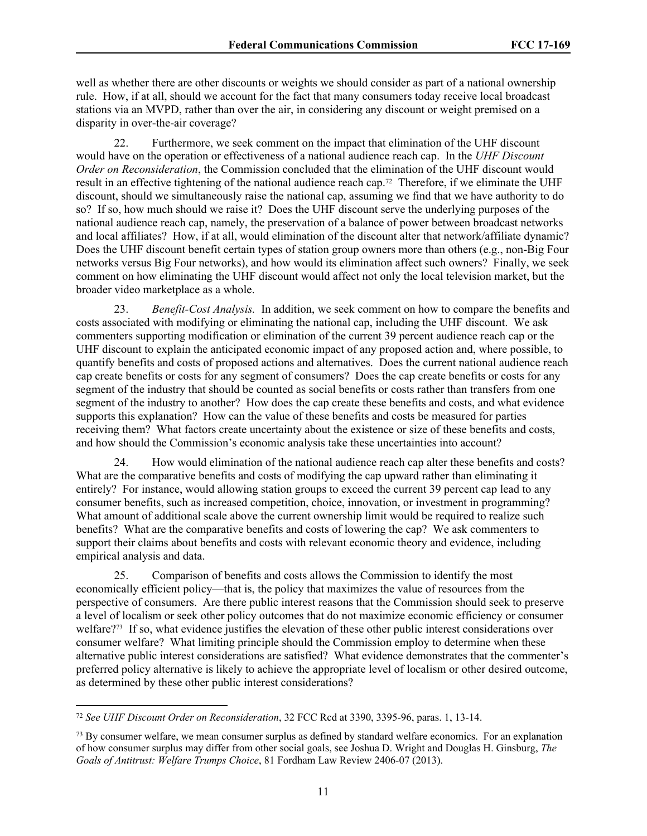well as whether there are other discounts or weights we should consider as part of a national ownership rule. How, if at all, should we account for the fact that many consumers today receive local broadcast stations via an MVPD, rather than over the air, in considering any discount or weight premised on a disparity in over-the-air coverage?

22. Furthermore, we seek comment on the impact that elimination of the UHF discount would have on the operation or effectiveness of a national audience reach cap. In the *UHF Discount Order on Reconsideration*, the Commission concluded that the elimination of the UHF discount would result in an effective tightening of the national audience reach cap.72 Therefore, if we eliminate the UHF discount, should we simultaneously raise the national cap, assuming we find that we have authority to do so? If so, how much should we raise it? Does the UHF discount serve the underlying purposes of the national audience reach cap, namely, the preservation of a balance of power between broadcast networks and local affiliates? How, if at all, would elimination of the discount alter that network/affiliate dynamic? Does the UHF discount benefit certain types of station group owners more than others (e.g., non-Big Four networks versus Big Four networks), and how would its elimination affect such owners? Finally, we seek comment on how eliminating the UHF discount would affect not only the local television market, but the broader video marketplace as a whole.

23. *Benefit-Cost Analysis.* In addition, we seek comment on how to compare the benefits and costs associated with modifying or eliminating the national cap, including the UHF discount. We ask commenters supporting modification or elimination of the current 39 percent audience reach cap or the UHF discount to explain the anticipated economic impact of any proposed action and, where possible, to quantify benefits and costs of proposed actions and alternatives. Does the current national audience reach cap create benefits or costs for any segment of consumers? Does the cap create benefits or costs for any segment of the industry that should be counted as social benefits or costs rather than transfers from one segment of the industry to another? How does the cap create these benefits and costs, and what evidence supports this explanation? How can the value of these benefits and costs be measured for parties receiving them? What factors create uncertainty about the existence or size of these benefits and costs, and how should the Commission's economic analysis take these uncertainties into account?

24. How would elimination of the national audience reach cap alter these benefits and costs? What are the comparative benefits and costs of modifying the cap upward rather than eliminating it entirely? For instance, would allowing station groups to exceed the current 39 percent cap lead to any consumer benefits, such as increased competition, choice, innovation, or investment in programming? What amount of additional scale above the current ownership limit would be required to realize such benefits? What are the comparative benefits and costs of lowering the cap? We ask commenters to support their claims about benefits and costs with relevant economic theory and evidence, including empirical analysis and data.

25. Comparison of benefits and costs allows the Commission to identify the most economically efficient policy—that is, the policy that maximizes the value of resources from the perspective of consumers. Are there public interest reasons that the Commission should seek to preserve a level of localism or seek other policy outcomes that do not maximize economic efficiency or consumer welfare?<sup>73</sup> If so, what evidence justifies the elevation of these other public interest considerations over consumer welfare? What limiting principle should the Commission employ to determine when these alternative public interest considerations are satisfied? What evidence demonstrates that the commenter's preferred policy alternative is likely to achieve the appropriate level of localism or other desired outcome, as determined by these other public interest considerations?

<sup>72</sup> *See UHF Discount Order on Reconsideration*, 32 FCC Rcd at 3390, 3395-96, paras. 1, 13-14.

<sup>&</sup>lt;sup>73</sup> By consumer welfare, we mean consumer surplus as defined by standard welfare economics. For an explanation of how consumer surplus may differ from other social goals, see Joshua D. Wright and Douglas H. Ginsburg, *The Goals of Antitrust: Welfare Trumps Choice*, 81 Fordham Law Review 2406-07 (2013).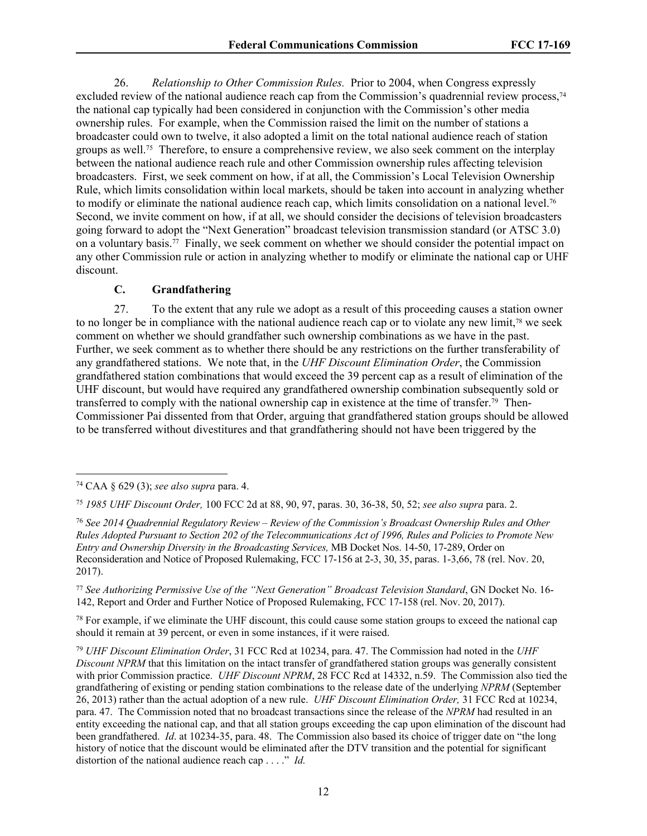26. *Relationship to Other Commission Rules.* Prior to 2004, when Congress expressly excluded review of the national audience reach cap from the Commission's quadrennial review process,<sup>74</sup> the national cap typically had been considered in conjunction with the Commission's other media ownership rules. For example, when the Commission raised the limit on the number of stations a broadcaster could own to twelve, it also adopted a limit on the total national audience reach of station groups as well.75 Therefore, to ensure a comprehensive review, we also seek comment on the interplay between the national audience reach rule and other Commission ownership rules affecting television broadcasters. First, we seek comment on how, if at all, the Commission's Local Television Ownership Rule, which limits consolidation within local markets, should be taken into account in analyzing whether to modify or eliminate the national audience reach cap, which limits consolidation on a national level.<sup>76</sup> Second, we invite comment on how, if at all, we should consider the decisions of television broadcasters going forward to adopt the "Next Generation" broadcast television transmission standard (or ATSC 3.0) on a voluntary basis.77 Finally, we seek comment on whether we should consider the potential impact on any other Commission rule or action in analyzing whether to modify or eliminate the national cap or UHF discount.

## **C. Grandfathering**

27. To the extent that any rule we adopt as a result of this proceeding causes a station owner to no longer be in compliance with the national audience reach cap or to violate any new limit,78 we seek comment on whether we should grandfather such ownership combinations as we have in the past. Further, we seek comment as to whether there should be any restrictions on the further transferability of any grandfathered stations. We note that, in the *UHF Discount Elimination Order*, the Commission grandfathered station combinations that would exceed the 39 percent cap as a result of elimination of the UHF discount, but would have required any grandfathered ownership combination subsequently sold or transferred to comply with the national ownership cap in existence at the time of transfer.79 Then-Commissioner Pai dissented from that Order, arguing that grandfathered station groups should be allowed to be transferred without divestitures and that grandfathering should not have been triggered by the

<sup>77</sup> *See Authorizing Permissive Use of the "Next Generation" Broadcast Television Standard*, GN Docket No. 16- 142, Report and Order and Further Notice of Proposed Rulemaking, FCC 17-158 (rel. Nov. 20, 2017).

<sup>78</sup> For example, if we eliminate the UHF discount, this could cause some station groups to exceed the national cap should it remain at 39 percent, or even in some instances, if it were raised.

<sup>79</sup> *UHF Discount Elimination Order*, 31 FCC Rcd at 10234, para. 47. The Commission had noted in the *UHF Discount NPRM* that this limitation on the intact transfer of grandfathered station groups was generally consistent with prior Commission practice. *UHF Discount NPRM*, 28 FCC Rcd at 14332, n.59. The Commission also tied the grandfathering of existing or pending station combinations to the release date of the underlying *NPRM* (September 26, 2013) rather than the actual adoption of a new rule. *UHF Discount Elimination Order,* 31 FCC Rcd at 10234, para. 47. The Commission noted that no broadcast transactions since the release of the *NPRM* had resulted in an entity exceeding the national cap, and that all station groups exceeding the cap upon elimination of the discount had been grandfathered. *Id*. at 10234-35, para. 48. The Commission also based its choice of trigger date on "the long history of notice that the discount would be eliminated after the DTV transition and the potential for significant distortion of the national audience reach cap . . . ." *Id.*

<sup>74</sup> CAA § 629 (3); *see also supra* para. 4.

<sup>75</sup> *1985 UHF Discount Order,* 100 FCC 2d at 88, 90, 97, paras. 30, 36-38, 50, 52; *see also supra* para. 2.

<sup>76</sup> *See 2014 Quadrennial Regulatory Review – Review of the Commission's Broadcast Ownership Rules and Other Rules Adopted Pursuant to Section 202 of the Telecommunications Act of 1996, Rules and Policies to Promote New Entry and Ownership Diversity in the Broadcasting Services,* MB Docket Nos. 14-50, 17-289, Order on Reconsideration and Notice of Proposed Rulemaking, FCC 17-156 at 2-3, 30, 35, paras. 1-3,66, 78 (rel. Nov. 20, 2017).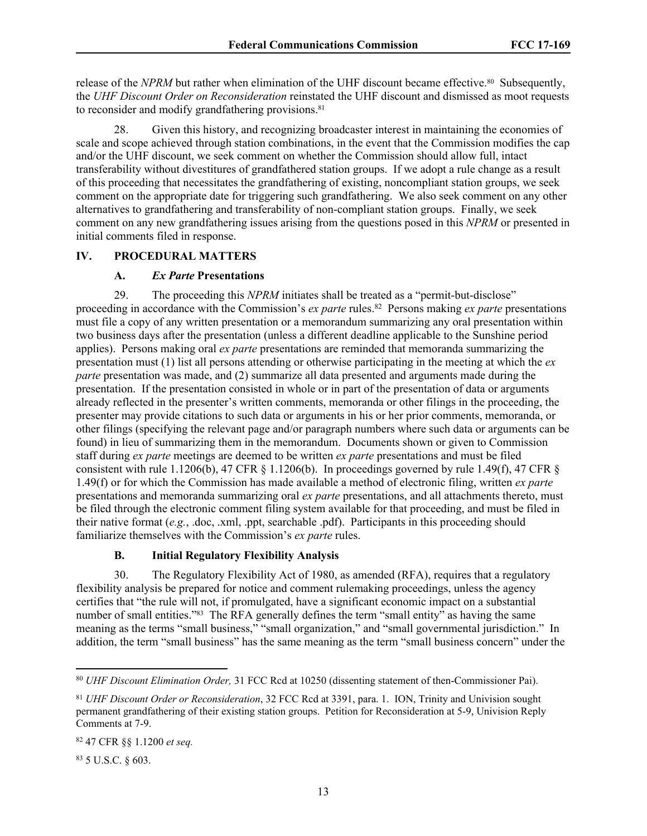release of the *NPRM* but rather when elimination of the UHF discount became effective.<sup>80</sup> Subsequently, the *UHF Discount Order on Reconsideration* reinstated the UHF discount and dismissed as moot requests to reconsider and modify grandfathering provisions.<sup>81</sup>

28. Given this history, and recognizing broadcaster interest in maintaining the economies of scale and scope achieved through station combinations, in the event that the Commission modifies the cap and/or the UHF discount, we seek comment on whether the Commission should allow full, intact transferability without divestitures of grandfathered station groups. If we adopt a rule change as a result of this proceeding that necessitates the grandfathering of existing, noncompliant station groups, we seek comment on the appropriate date for triggering such grandfathering. We also seek comment on any other alternatives to grandfathering and transferability of non-compliant station groups. Finally, we seek comment on any new grandfathering issues arising from the questions posed in this *NPRM* or presented in initial comments filed in response.

### **IV. PROCEDURAL MATTERS**

#### **A.** *Ex Parte* **Presentations**

29. The proceeding this *NPRM* initiates shall be treated as a "permit-but-disclose" proceeding in accordance with the Commission's *ex parte* rules.<sup>82</sup> Persons making *ex parte* presentations must file a copy of any written presentation or a memorandum summarizing any oral presentation within two business days after the presentation (unless a different deadline applicable to the Sunshine period applies). Persons making oral *ex parte* presentations are reminded that memoranda summarizing the presentation must (1) list all persons attending or otherwise participating in the meeting at which the *ex parte* presentation was made, and (2) summarize all data presented and arguments made during the presentation. If the presentation consisted in whole or in part of the presentation of data or arguments already reflected in the presenter's written comments, memoranda or other filings in the proceeding, the presenter may provide citations to such data or arguments in his or her prior comments, memoranda, or other filings (specifying the relevant page and/or paragraph numbers where such data or arguments can be found) in lieu of summarizing them in the memorandum. Documents shown or given to Commission staff during *ex parte* meetings are deemed to be written *ex parte* presentations and must be filed consistent with rule 1.1206(b), 47 CFR  $\S$  1.1206(b). In proceedings governed by rule 1.49(f), 47 CFR  $\S$ 1.49(f) or for which the Commission has made available a method of electronic filing, written *ex parte*  presentations and memoranda summarizing oral *ex parte* presentations, and all attachments thereto, must be filed through the electronic comment filing system available for that proceeding, and must be filed in their native format (*e.g.*, .doc, .xml, .ppt, searchable .pdf). Participants in this proceeding should familiarize themselves with the Commission's *ex parte* rules.

#### **B. Initial Regulatory Flexibility Analysis**

30. The Regulatory Flexibility Act of 1980, as amended (RFA), requires that a regulatory flexibility analysis be prepared for notice and comment rulemaking proceedings, unless the agency certifies that "the rule will not, if promulgated, have a significant economic impact on a substantial number of small entities."<sup>83</sup> The RFA generally defines the term "small entity" as having the same meaning as the terms "small business," "small organization," and "small governmental jurisdiction." In addition, the term "small business" has the same meaning as the term "small business concern" under the

83 5 U.S.C. § 603.

<sup>80</sup> *UHF Discount Elimination Order,* 31 FCC Rcd at 10250 (dissenting statement of then-Commissioner Pai).

<sup>81</sup> *UHF Discount Order or Reconsideration*, 32 FCC Rcd at 3391, para. 1. ION, Trinity and Univision sought permanent grandfathering of their existing station groups. Petition for Reconsideration at 5-9, Univision Reply Comments at 7-9.

<sup>82</sup> 47 CFR §§ 1.1200 *et seq.*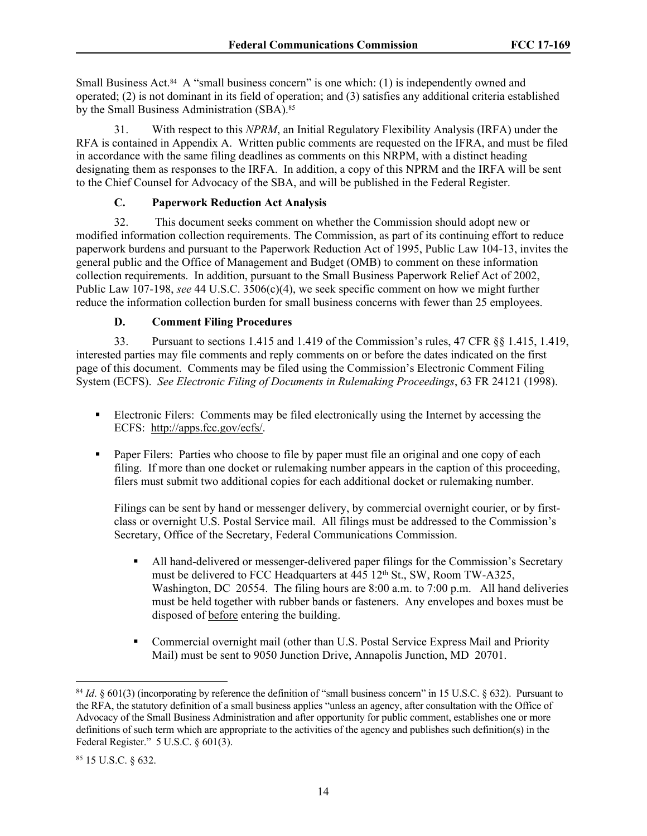Small Business Act.<sup>84</sup> A "small business concern" is one which: (1) is independently owned and operated; (2) is not dominant in its field of operation; and (3) satisfies any additional criteria established by the Small Business Administration (SBA).<sup>85</sup>

31. With respect to this *NPRM*, an Initial Regulatory Flexibility Analysis (IRFA) under the RFA is contained in Appendix A. Written public comments are requested on the IFRA, and must be filed in accordance with the same filing deadlines as comments on this NRPM, with a distinct heading designating them as responses to the IRFA. In addition, a copy of this NPRM and the IRFA will be sent to the Chief Counsel for Advocacy of the SBA, and will be published in the Federal Register.

# **C. Paperwork Reduction Act Analysis**

32. This document seeks comment on whether the Commission should adopt new or modified information collection requirements. The Commission, as part of its continuing effort to reduce paperwork burdens and pursuant to the Paperwork Reduction Act of 1995, Public Law 104-13, invites the general public and the Office of Management and Budget (OMB) to comment on these information collection requirements. In addition, pursuant to the Small Business Paperwork Relief Act of 2002, Public Law 107-198, *see* 44 U.S.C. 3506(c)(4), we seek specific comment on how we might further reduce the information collection burden for small business concerns with fewer than 25 employees.

# **D. Comment Filing Procedures**

33. Pursuant to sections 1.415 and 1.419 of the Commission's rules, 47 CFR §§ 1.415, 1.419, interested parties may file comments and reply comments on or before the dates indicated on the first page of this document. Comments may be filed using the Commission's Electronic Comment Filing System (ECFS). *See Electronic Filing of Documents in Rulemaking Proceedings*, 63 FR 24121 (1998).

- Electronic Filers: Comments may be filed electronically using the Internet by accessing the ECFS: [http://apps.fcc.gov/ecfs/.](http://apps.fcc.gov/ecfs/)
- Paper Filers: Parties who choose to file by paper must file an original and one copy of each filing. If more than one docket or rulemaking number appears in the caption of this proceeding, filers must submit two additional copies for each additional docket or rulemaking number.

Filings can be sent by hand or messenger delivery, by commercial overnight courier, or by firstclass or overnight U.S. Postal Service mail. All filings must be addressed to the Commission's Secretary, Office of the Secretary, Federal Communications Commission.

- All hand-delivered or messenger-delivered paper filings for the Commission's Secretary must be delivered to FCC Headquarters at 445 12<sup>th</sup> St., SW, Room TW-A325, Washington, DC 20554. The filing hours are 8:00 a.m. to 7:00 p.m. All hand deliveries must be held together with rubber bands or fasteners. Any envelopes and boxes must be disposed of before entering the building.
- Commercial overnight mail (other than U.S. Postal Service Express Mail and Priority Mail) must be sent to 9050 Junction Drive, Annapolis Junction, MD 20701.

<sup>&</sup>lt;sup>84</sup> *Id.* § 601(3) (incorporating by reference the definition of "small business concern" in 15 U.S.C. § 632). Pursuant to the RFA, the statutory definition of a small business applies "unless an agency, after consultation with the Office of Advocacy of the Small Business Administration and after opportunity for public comment, establishes one or more definitions of such term which are appropriate to the activities of the agency and publishes such definition(s) in the Federal Register." 5 U.S.C. § 601(3).

<sup>85</sup> 15 U.S.C. § 632.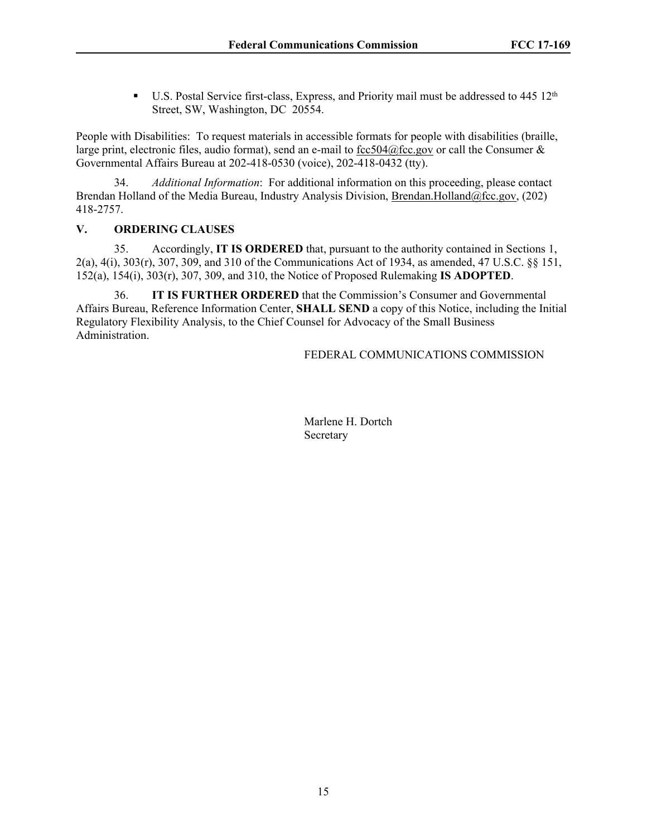U.S. Postal Service first-class, Express, and Priority mail must be addressed to  $445 \times 12^{th}$ Street, SW, Washington, DC 20554.

People with Disabilities: To request materials in accessible formats for people with disabilities (braille, large print, electronic files, audio format), send an e-mail to [fcc504@fcc.gov](mailto:fcc504@fcc.gov) or call the Consumer  $\&$ Governmental Affairs Bureau at 202-418-0530 (voice), 202-418-0432 (tty).

34. *Additional Information*: For additional information on this proceeding, please contact Brendan Holland of the Media Bureau, Industry Analysis Division, [Brendan.Holland@fcc.gov,](mailto:Brendan.Holland@fcc.gov) (202) 418-2757.

# **V. ORDERING CLAUSES**

35. Accordingly, **IT IS ORDERED** that, pursuant to the authority contained in Sections 1, 2(a), 4(i), 303(r), 307, 309, and 310 of the Communications Act of 1934, as amended, 47 U.S.C. §§ 151, 152(a), 154(i), 303(r), 307, 309, and 310, the Notice of Proposed Rulemaking **IS ADOPTED**.

36. **IT IS FURTHER ORDERED** that the Commission's Consumer and Governmental Affairs Bureau, Reference Information Center, **SHALL SEND** a copy of this Notice, including the Initial Regulatory Flexibility Analysis, to the Chief Counsel for Advocacy of the Small Business Administration.

FEDERAL COMMUNICATIONS COMMISSION

Marlene H. Dortch Secretary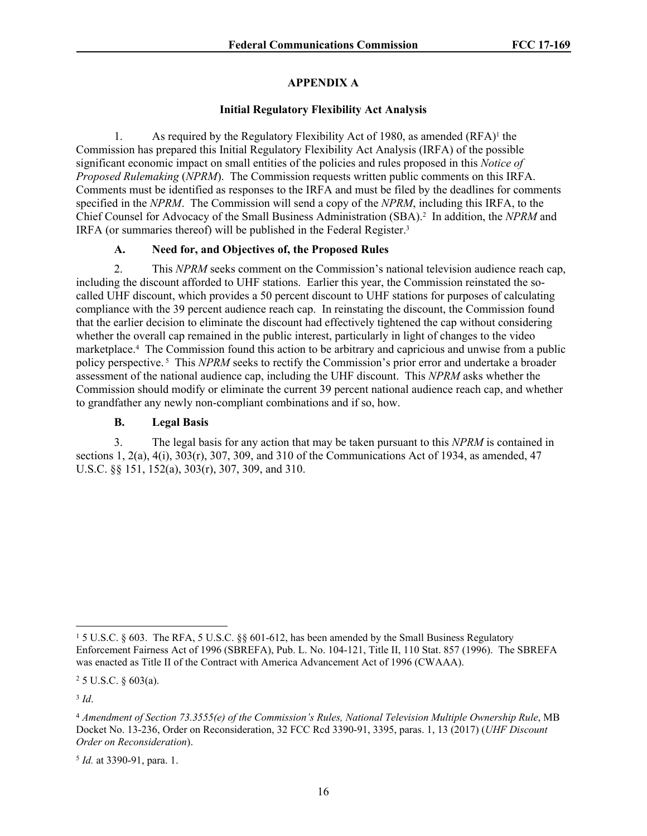## **APPENDIX A**

## **Initial Regulatory Flexibility Act Analysis**

1. As required by the Regulatory Flexibility Act of 1980, as amended (RFA)<sup>1</sup> the Commission has prepared this Initial Regulatory Flexibility Act Analysis (IRFA) of the possible significant economic impact on small entities of the policies and rules proposed in this *Notice of Proposed Rulemaking* (*NPRM*). The Commission requests written public comments on this IRFA. Comments must be identified as responses to the IRFA and must be filed by the deadlines for comments specified in the *NPRM*. The Commission will send a copy of the *NPRM*, including this IRFA, to the Chief Counsel for Advocacy of the Small Business Administration (SBA).<sup>2</sup> In addition, the *NPRM* and IRFA (or summaries thereof) will be published in the Federal Register.<sup>3</sup>

# **A. Need for, and Objectives of, the Proposed Rules**

2. This *NPRM* seeks comment on the Commission's national television audience reach cap, including the discount afforded to UHF stations. Earlier this year, the Commission reinstated the socalled UHF discount, which provides a 50 percent discount to UHF stations for purposes of calculating compliance with the 39 percent audience reach cap. In reinstating the discount, the Commission found that the earlier decision to eliminate the discount had effectively tightened the cap without considering whether the overall cap remained in the public interest, particularly in light of changes to the video marketplace.<sup>4</sup> The Commission found this action to be arbitrary and capricious and unwise from a public policy perspective. 5 This *NPRM* seeks to rectify the Commission's prior error and undertake a broader assessment of the national audience cap, including the UHF discount. This *NPRM* asks whether the Commission should modify or eliminate the current 39 percent national audience reach cap, and whether to grandfather any newly non-compliant combinations and if so, how.

# **B. Legal Basis**

3. The legal basis for any action that may be taken pursuant to this *NPRM* is contained in sections 1,  $2(a)$ ,  $4(i)$ ,  $303(r)$ ,  $307$ ,  $309$ , and  $310$  of the Communications Act of 1934, as amended, 47 U.S.C. §§ 151, 152(a), 303(r), 307, 309, and 310.

3 *Id*.

<sup>&</sup>lt;sup>1</sup> 5 U.S.C. § 603. The RFA, 5 U.S.C. §§ 601-612, has been amended by the Small Business Regulatory Enforcement Fairness Act of 1996 (SBREFA), Pub. L. No. 104-121, Title II, 110 Stat. 857 (1996). The SBREFA was enacted as Title II of the Contract with America Advancement Act of 1996 (CWAAA).

 $2$  5 U.S.C. § 603(a).

<sup>4</sup> *Amendment of Section 73.3555(e) of the Commission's Rules, National Television Multiple Ownership Rule*, MB Docket No. 13-236, Order on Reconsideration, 32 FCC Rcd 3390-91, 3395, paras. 1, 13 (2017) (*UHF Discount Order on Reconsideration*).

<sup>5</sup> *Id.* at 3390-91, para. 1.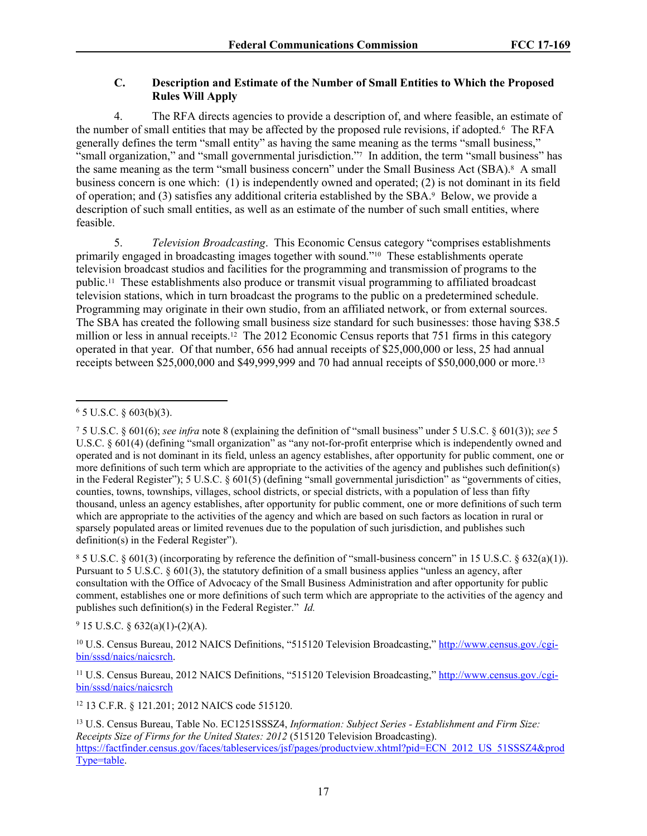# **C. Description and Estimate of the Number of Small Entities to Which the Proposed Rules Will Apply**

4. The RFA directs agencies to provide a description of, and where feasible, an estimate of the number of small entities that may be affected by the proposed rule revisions, if adopted.<sup>6</sup> The RFA generally defines the term "small entity" as having the same meaning as the terms "small business," "small organization," and "small governmental jurisdiction."<sup>7</sup> In addition, the term "small business" has the same meaning as the term "small business concern" under the Small Business Act (SBA).<sup>8</sup> A small business concern is one which: (1) is independently owned and operated; (2) is not dominant in its field of operation; and (3) satisfies any additional criteria established by the SBA.<sup>9</sup> Below, we provide a description of such small entities, as well as an estimate of the number of such small entities, where feasible.

5. *Television Broadcasting*. This Economic Census category "comprises establishments primarily engaged in broadcasting images together with sound."10 These establishments operate television broadcast studios and facilities for the programming and transmission of programs to the public.11 These establishments also produce or transmit visual programming to affiliated broadcast television stations, which in turn broadcast the programs to the public on a predetermined schedule. Programming may originate in their own studio, from an affiliated network, or from external sources. The SBA has created the following small business size standard for such businesses: those having \$38.5 million or less in annual receipts.<sup>12</sup> The 2012 Economic Census reports that 751 firms in this category operated in that year. Of that number, 656 had annual receipts of \$25,000,000 or less, 25 had annual receipts between \$25,000,000 and \$49,999,999 and 70 had annual receipts of \$50,000,000 or more.<sup>13</sup>

 $85$  U.S.C. § 601(3) (incorporating by reference the definition of "small-business concern" in 15 U.S.C. § 632(a)(1)). Pursuant to 5 U.S.C. § 601(3), the statutory definition of a small business applies "unless an agency, after consultation with the Office of Advocacy of the Small Business Administration and after opportunity for public comment, establishes one or more definitions of such term which are appropriate to the activities of the agency and publishes such definition(s) in the Federal Register." *Id.*

 $9$  15 U.S.C. § 632(a)(1)-(2)(A).

10 U.S. Census Bureau, 2012 NAICS Definitions, "515120 Television Broadcasting," [http://www.census.gov./cgi](http://www.census.gov./cgi-bin/sssd/naics/naicsrch)[bin/sssd/naics/naicsrch.](http://www.census.gov./cgi-bin/sssd/naics/naicsrch)

<sup>11</sup> U.S. Census Bureau, 2012 NAICS Definitions, "515120 Television Broadcasting," [http://www.census.gov./cgi](http://www.census.gov./cgi-bin/sssd/naics/naicsrch)[bin/sssd/naics/naicsrch](http://www.census.gov./cgi-bin/sssd/naics/naicsrch)

<sup>12</sup> 13 C.F.R. § 121.201; 2012 NAICS code 515120.

<sup>13</sup> U.S. Census Bureau, Table No. EC1251SSSZ4, *Information: Subject Series - Establishment and Firm Size: Receipts Size of Firms for the United States: 2012* (515120 Television Broadcasting). [https://factfinder.census.gov/faces/tableservices/jsf/pages/productview.xhtml?pid=ECN\\_2012\\_US\\_51SSSZ4&prod](https://factfinder.census.gov/faces/tableservices/jsf/pages/productview.xhtml?pid=ECN_2012_US_51SSSZ4&prodType=table) [Type=table.](https://factfinder.census.gov/faces/tableservices/jsf/pages/productview.xhtml?pid=ECN_2012_US_51SSSZ4&prodType=table)

 $6$  5 U.S.C. § 603(b)(3).

<sup>7</sup> 5 U.S.C. § 601(6); *see infra* note 8 (explaining the definition of "small business" under 5 U.S.C. § 601(3)); *see* 5 U.S.C. § 601(4) (defining "small organization" as "any not-for-profit enterprise which is independently owned and operated and is not dominant in its field, unless an agency establishes, after opportunity for public comment, one or more definitions of such term which are appropriate to the activities of the agency and publishes such definition(s) in the Federal Register"); 5 U.S.C. § 601(5) (defining "small governmental jurisdiction" as "governments of cities, counties, towns, townships, villages, school districts, or special districts, with a population of less than fifty thousand, unless an agency establishes, after opportunity for public comment, one or more definitions of such term which are appropriate to the activities of the agency and which are based on such factors as location in rural or sparsely populated areas or limited revenues due to the population of such jurisdiction, and publishes such definition(s) in the Federal Register").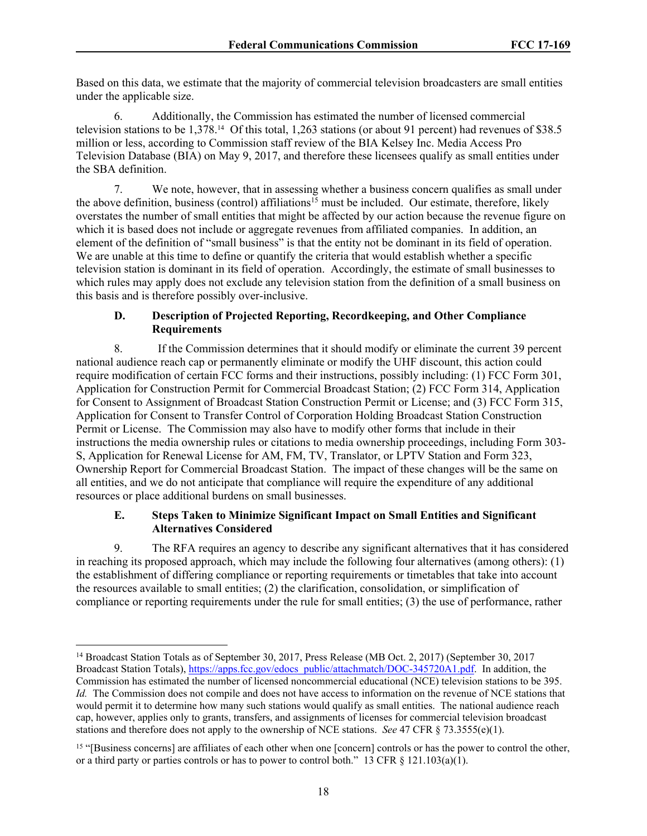Based on this data, we estimate that the majority of commercial television broadcasters are small entities under the applicable size.

6. Additionally, the Commission has estimated the number of licensed commercial television stations to be 1,378.14 Of this total, 1,263 stations (or about 91 percent) had revenues of \$38.5 million or less, according to Commission staff review of the BIA Kelsey Inc. Media Access Pro Television Database (BIA) on May 9, 2017, and therefore these licensees qualify as small entities under the SBA definition.

7. We note, however, that in assessing whether a business concern qualifies as small under the above definition, business (control) affiliations<sup>15</sup> must be included. Our estimate, therefore, likely overstates the number of small entities that might be affected by our action because the revenue figure on which it is based does not include or aggregate revenues from affiliated companies. In addition, an element of the definition of "small business" is that the entity not be dominant in its field of operation. We are unable at this time to define or quantify the criteria that would establish whether a specific television station is dominant in its field of operation. Accordingly, the estimate of small businesses to which rules may apply does not exclude any television station from the definition of a small business on this basis and is therefore possibly over-inclusive.

# **D. Description of Projected Reporting, Recordkeeping, and Other Compliance Requirements**

8. If the Commission determines that it should modify or eliminate the current 39 percent national audience reach cap or permanently eliminate or modify the UHF discount, this action could require modification of certain FCC forms and their instructions, possibly including: (1) FCC Form 301, Application for Construction Permit for Commercial Broadcast Station; (2) FCC Form 314, Application for Consent to Assignment of Broadcast Station Construction Permit or License; and (3) FCC Form 315, Application for Consent to Transfer Control of Corporation Holding Broadcast Station Construction Permit or License. The Commission may also have to modify other forms that include in their instructions the media ownership rules or citations to media ownership proceedings, including Form 303- S, Application for Renewal License for AM, FM, TV, Translator, or LPTV Station and Form 323, Ownership Report for Commercial Broadcast Station. The impact of these changes will be the same on all entities, and we do not anticipate that compliance will require the expenditure of any additional resources or place additional burdens on small businesses.

# **E. Steps Taken to Minimize Significant Impact on Small Entities and Significant Alternatives Considered**

9. The RFA requires an agency to describe any significant alternatives that it has considered in reaching its proposed approach, which may include the following four alternatives (among others): (1) the establishment of differing compliance or reporting requirements or timetables that take into account the resources available to small entities; (2) the clarification, consolidation, or simplification of compliance or reporting requirements under the rule for small entities; (3) the use of performance, rather

<sup>&</sup>lt;sup>14</sup> Broadcast Station Totals as of September 30, 2017, Press Release (MB Oct. 2, 2017) (September 30, 2017) Broadcast Station Totals), [https://apps.fcc.gov/edocs\\_public/attachmatch/DOC-345720A1.pdf.](https://apps.fcc.gov/edocs_public/attachmatch/DOC-345720A1.pdf) In addition, the Commission has estimated the number of licensed noncommercial educational (NCE) television stations to be 395. *Id.* The Commission does not compile and does not have access to information on the revenue of NCE stations that would permit it to determine how many such stations would qualify as small entities. The national audience reach cap, however, applies only to grants, transfers, and assignments of licenses for commercial television broadcast stations and therefore does not apply to the ownership of NCE stations. *See* 47 CFR § 73.3555(e)(1).

<sup>&</sup>lt;sup>15</sup> "[Business concerns] are affiliates of each other when one [concern] controls or has the power to control the other, or a third party or parties controls or has to power to control both." 13 CFR  $\S$  121.103(a)(1).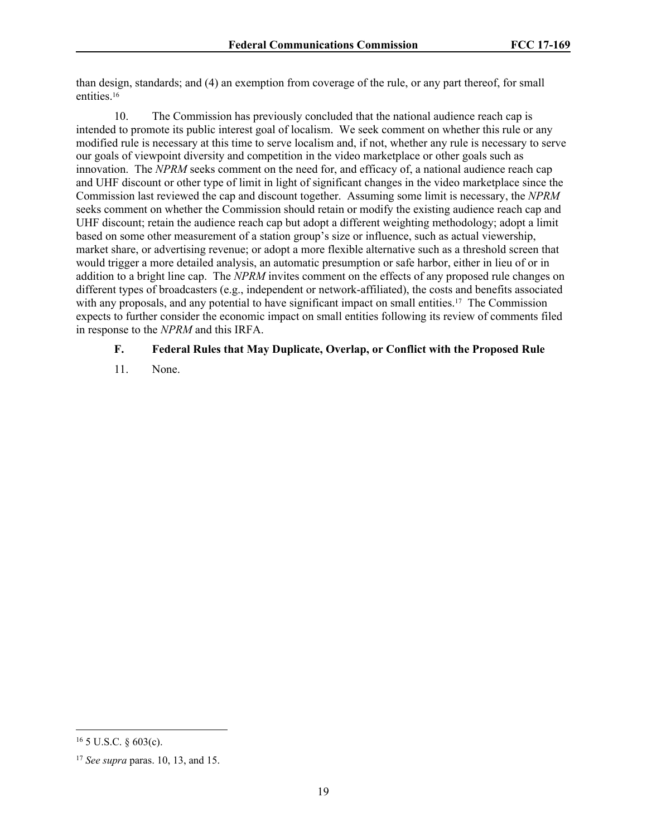than design, standards; and (4) an exemption from coverage of the rule, or any part thereof, for small entities.<sup>16</sup>

10. The Commission has previously concluded that the national audience reach cap is intended to promote its public interest goal of localism. We seek comment on whether this rule or any modified rule is necessary at this time to serve localism and, if not, whether any rule is necessary to serve our goals of viewpoint diversity and competition in the video marketplace or other goals such as innovation. The *NPRM* seeks comment on the need for, and efficacy of, a national audience reach cap and UHF discount or other type of limit in light of significant changes in the video marketplace since the Commission last reviewed the cap and discount together. Assuming some limit is necessary, the *NPRM*  seeks comment on whether the Commission should retain or modify the existing audience reach cap and UHF discount; retain the audience reach cap but adopt a different weighting methodology; adopt a limit based on some other measurement of a station group's size or influence, such as actual viewership, market share, or advertising revenue; or adopt a more flexible alternative such as a threshold screen that would trigger a more detailed analysis, an automatic presumption or safe harbor, either in lieu of or in addition to a bright line cap. The *NPRM* invites comment on the effects of any proposed rule changes on different types of broadcasters (e.g., independent or network-affiliated), the costs and benefits associated with any proposals, and any potential to have significant impact on small entities.<sup>17</sup> The Commission expects to further consider the economic impact on small entities following its review of comments filed in response to the *NPRM* and this IRFA.

## **F. Federal Rules that May Duplicate, Overlap, or Conflict with the Proposed Rule**

11. None.

 $16$  5 U.S.C. § 603(c).

<sup>17</sup> *See supra* paras. 10, 13, and 15.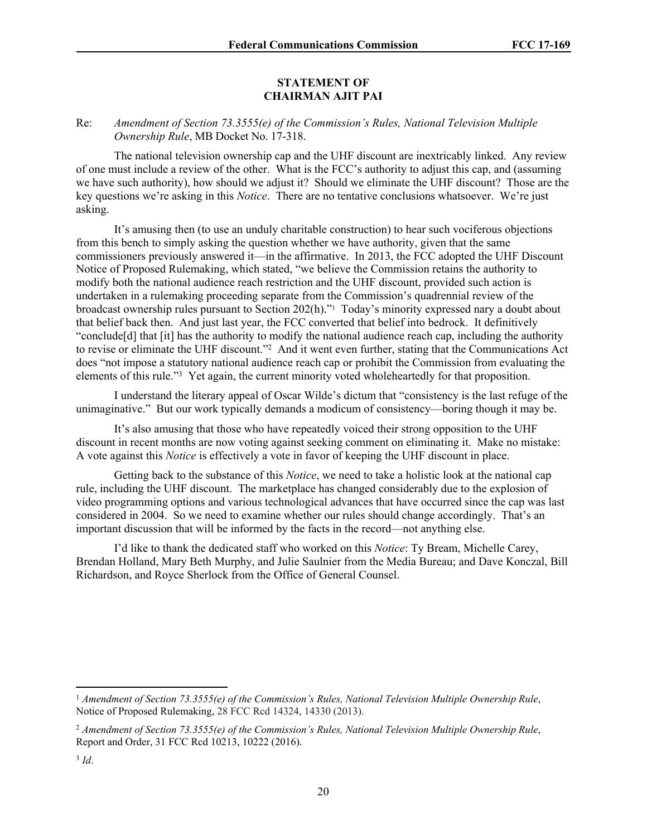#### **STATEMENT OF CHAIRMAN AJIT PAI**

## Re: *Amendment of Section 73.3555(e) of the Commission's Rules, National Television Multiple Ownership Rule*, MB Docket No. 17-318.

The national television ownership cap and the UHF discount are inextricably linked. Any review of one must include a review of the other. What is the FCC's authority to adjust this cap, and (assuming we have such authority), how should we adjust it? Should we eliminate the UHF discount? Those are the key questions we're asking in this *Notice*. There are no tentative conclusions whatsoever. We're just asking.

It's amusing then (to use an unduly charitable construction) to hear such vociferous objections from this bench to simply asking the question whether we have authority, given that the same commissioners previously answered it—in the affirmative. In 2013, the FCC adopted the UHF Discount Notice of Proposed Rulemaking, which stated, "we believe the Commission retains the authority to modify both the national audience reach restriction and the UHF discount, provided such action is undertaken in a rulemaking proceeding separate from the Commission's quadrennial review of the broadcast ownership rules pursuant to Section 202(h)."<sup>1</sup> Today's minority expressed nary a doubt about that belief back then. And just last year, the FCC converted that belief into bedrock. It definitively "conclude[d] that [it] has the authority to modify the national audience reach cap, including the authority to revise or eliminate the UHF discount."<sup>2</sup> And it went even further, stating that the Communications Act does "not impose a statutory national audience reach cap or prohibit the Commission from evaluating the elements of this rule."<sup>3</sup> Yet again, the current minority voted wholeheartedly for that proposition.

I understand the literary appeal of Oscar Wilde's dictum that "consistency is the last refuge of the unimaginative." But our work typically demands a modicum of consistency—boring though it may be.

It's also amusing that those who have repeatedly voiced their strong opposition to the UHF discount in recent months are now voting against seeking comment on eliminating it. Make no mistake: A vote against this *Notice* is effectively a vote in favor of keeping the UHF discount in place.

Getting back to the substance of this *Notice*, we need to take a holistic look at the national cap rule, including the UHF discount. The marketplace has changed considerably due to the explosion of video programming options and various technological advances that have occurred since the cap was last considered in 2004. So we need to examine whether our rules should change accordingly. That's an important discussion that will be informed by the facts in the record—not anything else.

I'd like to thank the dedicated staff who worked on this *Notice*: Ty Bream, Michelle Carey, Brendan Holland, Mary Beth Murphy, and Julie Saulnier from the Media Bureau; and Dave Konczal, Bill Richardson, and Royce Sherlock from the Office of General Counsel.

<sup>1</sup> *Amendment of Section 73.3555(e) of the Commission's Rules, National Television Multiple Ownership Rule*, Notice of Proposed Rulemaking, 28 FCC Rcd 14324, 14330 (2013).

<sup>2</sup> *Amendment of Section 73.3555(e) of the Commission's Rules, National Television Multiple Ownership Rule*, Report and Order, 31 FCC Rcd 10213, 10222 (2016).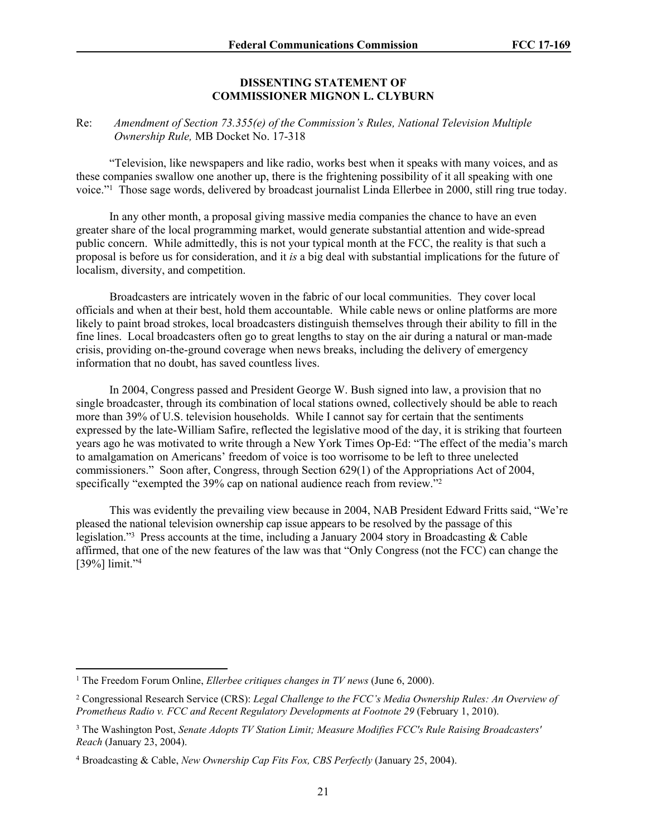#### **DISSENTING STATEMENT OF COMMISSIONER MIGNON L. CLYBURN**

## Re: *Amendment of Section 73.355(e) of the Commission's Rules, National Television Multiple Ownership Rule,* MB Docket No. 17-318

"Television, like newspapers and like radio, works best when it speaks with many voices, and as these companies swallow one another up, there is the frightening possibility of it all speaking with one voice."<sup>1</sup> Those sage words, delivered by broadcast journalist Linda Ellerbee in 2000, still ring true today.

In any other month, a proposal giving massive media companies the chance to have an even greater share of the local programming market, would generate substantial attention and wide-spread public concern. While admittedly, this is not your typical month at the FCC, the reality is that such a proposal is before us for consideration, and it *is* a big deal with substantial implications for the future of localism, diversity, and competition.

Broadcasters are intricately woven in the fabric of our local communities. They cover local officials and when at their best, hold them accountable. While cable news or online platforms are more likely to paint broad strokes, local broadcasters distinguish themselves through their ability to fill in the fine lines. Local broadcasters often go to great lengths to stay on the air during a natural or man-made crisis, providing on-the-ground coverage when news breaks, including the delivery of emergency information that no doubt, has saved countless lives.

In 2004, Congress passed and President George W. Bush signed into law, a provision that no single broadcaster, through its combination of local stations owned, collectively should be able to reach more than 39% of U.S. television households. While I cannot say for certain that the sentiments expressed by the late-William Safire, reflected the legislative mood of the day, it is striking that fourteen years ago he was motivated to write through a New York Times Op-Ed: "The effect of the media's march to amalgamation on Americans' freedom of voice is too worrisome to be left to three unelected commissioners." Soon after, Congress, through Section 629(1) of the Appropriations Act of 2004, specifically "exempted the 39% cap on national audience reach from review."<sup>2</sup>

This was evidently the prevailing view because in 2004, NAB President Edward Fritts said, "We're pleased the national television ownership cap issue appears to be resolved by the passage of this legislation."<sup>3</sup> Press accounts at the time, including a January 2004 story in Broadcasting & Cable affirmed, that one of the new features of the law was that "Only Congress (not the FCC) can change the [39%] limit."<sup>4</sup>

<sup>&</sup>lt;sup>1</sup> The Freedom Forum Online, *Ellerbee critiques changes in TV news* (June 6, 2000).

<sup>2</sup> Congressional Research Service (CRS): *Legal Challenge to the FCC's Media Ownership Rules: An Overview of Prometheus Radio v. FCC and Recent Regulatory Developments at Footnote 29* (February 1, 2010).

<sup>3</sup> The Washington Post, *Senate Adopts TV Station Limit; Measure Modifies FCC's Rule Raising Broadcasters' Reach* (January 23, 2004).

<sup>4</sup> Broadcasting & Cable, *New Ownership Cap Fits Fox, CBS Perfectly* (January 25, 2004).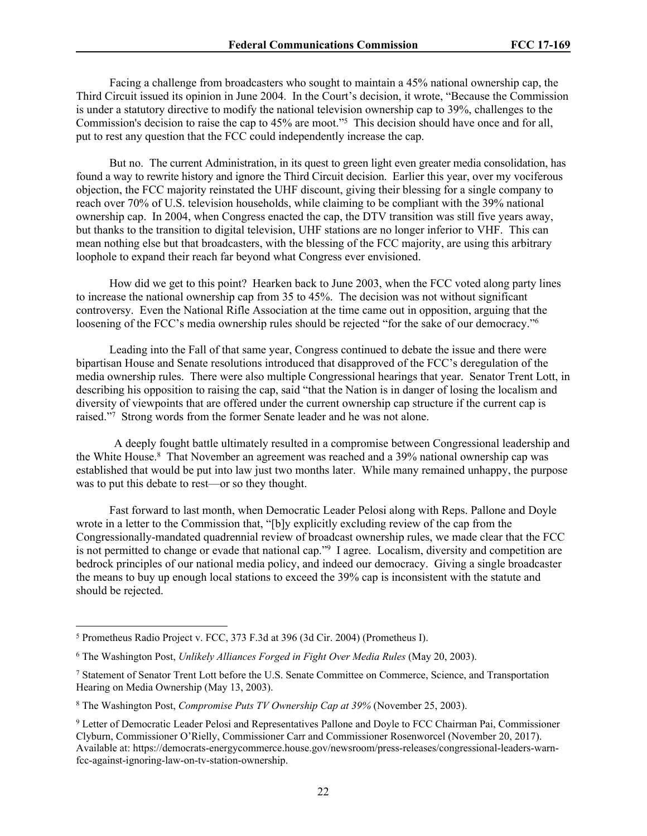Facing a challenge from broadcasters who sought to maintain a 45% national ownership cap, the Third Circuit issued its opinion in June 2004. In the Court's decision, it wrote, "Because the Commission is under a statutory directive to modify the national television ownership cap to 39%, challenges to the Commission's decision to raise the cap to 45% are moot."<sup>5</sup> This decision should have once and for all, put to rest any question that the FCC could independently increase the cap.

But no. The current Administration, in its quest to green light even greater media consolidation, has found a way to rewrite history and ignore the Third Circuit decision. Earlier this year, over my vociferous objection, the FCC majority reinstated the UHF discount, giving their blessing for a single company to reach over 70% of U.S. television households, while claiming to be compliant with the 39% national ownership cap. In 2004, when Congress enacted the cap, the DTV transition was still five years away, but thanks to the transition to digital television, UHF stations are no longer inferior to VHF. This can mean nothing else but that broadcasters, with the blessing of the FCC majority, are using this arbitrary loophole to expand their reach far beyond what Congress ever envisioned.

How did we get to this point? Hearken back to June 2003, when the FCC voted along party lines to increase the national ownership cap from 35 to 45%. The decision was not without significant controversy. Even the National Rifle Association at the time came out in opposition, arguing that the loosening of the FCC's media ownership rules should be rejected "for the sake of our democracy."<sup>6</sup>

Leading into the Fall of that same year, Congress continued to debate the issue and there were bipartisan House and Senate resolutions introduced that disapproved of the FCC's deregulation of the media ownership rules. There were also multiple Congressional hearings that year. Senator Trent Lott, in describing his opposition to raising the cap, said "that the Nation is in danger of losing the localism and diversity of viewpoints that are offered under the current ownership cap structure if the current cap is raised."<sup>7</sup> Strong words from the former Senate leader and he was not alone.

A deeply fought battle ultimately resulted in a compromise between Congressional leadership and the White House.<sup>8</sup> That November an agreement was reached and a 39% national ownership cap was established that would be put into law just two months later. While many remained unhappy, the purpose was to put this debate to rest—or so they thought.

Fast forward to last month, when Democratic Leader Pelosi along with Reps. Pallone and Doyle wrote in a letter to the Commission that, "[b]y explicitly excluding review of the cap from the Congressionally-mandated quadrennial review of broadcast ownership rules, we made clear that the FCC is not permitted to change or evade that national cap."<sup>9</sup> I agree. Localism, diversity and competition are bedrock principles of our national media policy, and indeed our democracy. Giving a single broadcaster the means to buy up enough local stations to exceed the 39% cap is inconsistent with the statute and should be rejected.

<sup>5</sup> Prometheus Radio Project v. FCC, 373 F.3d at 396 (3d Cir. 2004) (Prometheus I).

<sup>6</sup> The Washington Post, *Unlikely Alliances Forged in Fight Over Media Rules* (May 20, 2003).

<sup>7</sup> Statement of Senator Trent Lott before the U.S. Senate Committee on Commerce, Science, and Transportation Hearing on Media Ownership (May 13, 2003).

<sup>8</sup> The Washington Post, *Compromise Puts TV Ownership Cap at 39%* (November 25, 2003).

<sup>9</sup> Letter of Democratic Leader Pelosi and Representatives Pallone and Doyle to FCC Chairman Pai, Commissioner Clyburn, Commissioner O'Rielly, Commissioner Carr and Commissioner Rosenworcel (November 20, 2017). Available at: https://democrats-energycommerce.house.gov/newsroom/press-releases/congressional-leaders-warnfcc-against-ignoring-law-on-tv-station-ownership.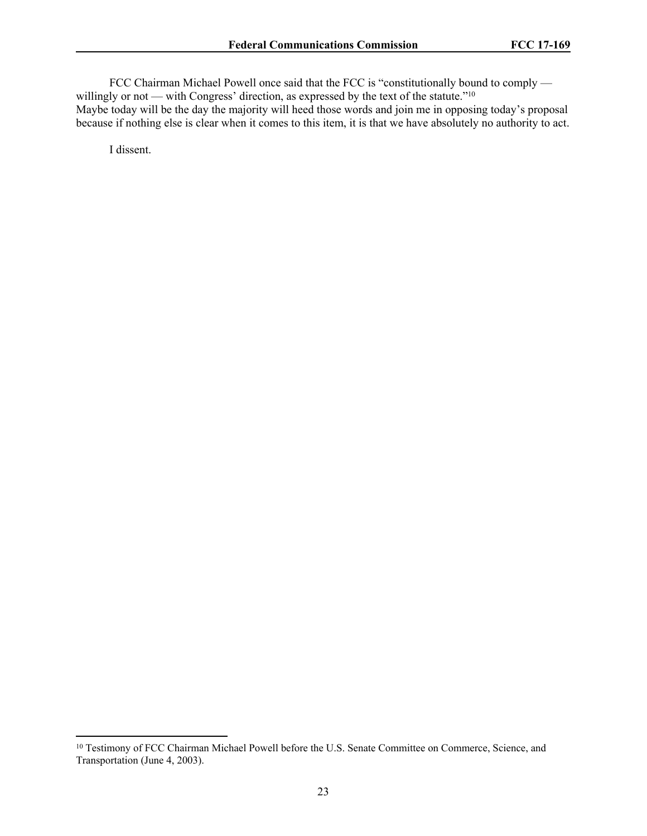FCC Chairman Michael Powell once said that the FCC is "constitutionally bound to comply willingly or not — with Congress' direction, as expressed by the text of the statute."<sup>10</sup>

Maybe today will be the day the majority will heed those words and join me in opposing today's proposal because if nothing else is clear when it comes to this item, it is that we have absolutely no authority to act.

I dissent.

<sup>&</sup>lt;sup>10</sup> Testimony of FCC Chairman Michael Powell before the U.S. Senate Committee on Commerce, Science, and Transportation (June 4, 2003).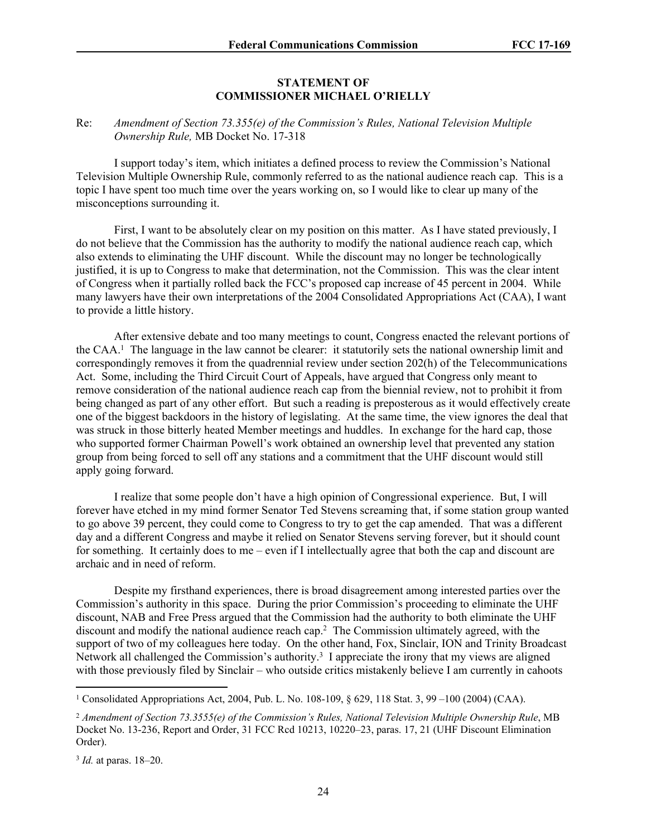#### **STATEMENT OF COMMISSIONER MICHAEL O'RIELLY**

### Re: *Amendment of Section 73.355(e) of the Commission's Rules, National Television Multiple Ownership Rule,* MB Docket No. 17-318

I support today's item, which initiates a defined process to review the Commission's National Television Multiple Ownership Rule, commonly referred to as the national audience reach cap. This is a topic I have spent too much time over the years working on, so I would like to clear up many of the misconceptions surrounding it.

First, I want to be absolutely clear on my position on this matter. As I have stated previously, I do not believe that the Commission has the authority to modify the national audience reach cap, which also extends to eliminating the UHF discount. While the discount may no longer be technologically justified, it is up to Congress to make that determination, not the Commission. This was the clear intent of Congress when it partially rolled back the FCC's proposed cap increase of 45 percent in 2004. While many lawyers have their own interpretations of the 2004 Consolidated Appropriations Act (CAA), I want to provide a little history.

After extensive debate and too many meetings to count, Congress enacted the relevant portions of the CAA.<sup>1</sup> The language in the law cannot be clearer: it statutorily sets the national ownership limit and correspondingly removes it from the quadrennial review under section 202(h) of the Telecommunications Act. Some, including the Third Circuit Court of Appeals, have argued that Congress only meant to remove consideration of the national audience reach cap from the biennial review, not to prohibit it from being changed as part of any other effort. But such a reading is preposterous as it would effectively create one of the biggest backdoors in the history of legislating. At the same time, the view ignores the deal that was struck in those bitterly heated Member meetings and huddles. In exchange for the hard cap, those who supported former Chairman Powell's work obtained an ownership level that prevented any station group from being forced to sell off any stations and a commitment that the UHF discount would still apply going forward.

I realize that some people don't have a high opinion of Congressional experience. But, I will forever have etched in my mind former Senator Ted Stevens screaming that, if some station group wanted to go above 39 percent, they could come to Congress to try to get the cap amended. That was a different day and a different Congress and maybe it relied on Senator Stevens serving forever, but it should count for something. It certainly does to me – even if I intellectually agree that both the cap and discount are archaic and in need of reform.

Despite my firsthand experiences, there is broad disagreement among interested parties over the Commission's authority in this space. During the prior Commission's proceeding to eliminate the UHF discount, NAB and Free Press argued that the Commission had the authority to both eliminate the UHF discount and modify the national audience reach cap.<sup>2</sup> The Commission ultimately agreed, with the support of two of my colleagues here today. On the other hand, Fox, Sinclair, ION and Trinity Broadcast Network all challenged the Commission's authority.<sup>3</sup> I appreciate the irony that my views are aligned with those previously filed by Sinclair – who outside critics mistakenly believe I am currently in cahoots

<sup>1</sup> Consolidated Appropriations Act, 2004, Pub. L. No. 108-109, § 629, 118 Stat. 3, 99 –100 (2004) (CAA).

<sup>&</sup>lt;sup>2</sup> Amendment of Section 73.3555(e) of the Commission's Rules, National Television Multiple Ownership Rule, MB Docket No. 13-236, Report and Order, 31 FCC Rcd 10213, 10220–23, paras. 17, 21 (UHF Discount Elimination Order).

<sup>3</sup> *Id.* at paras. 18–20.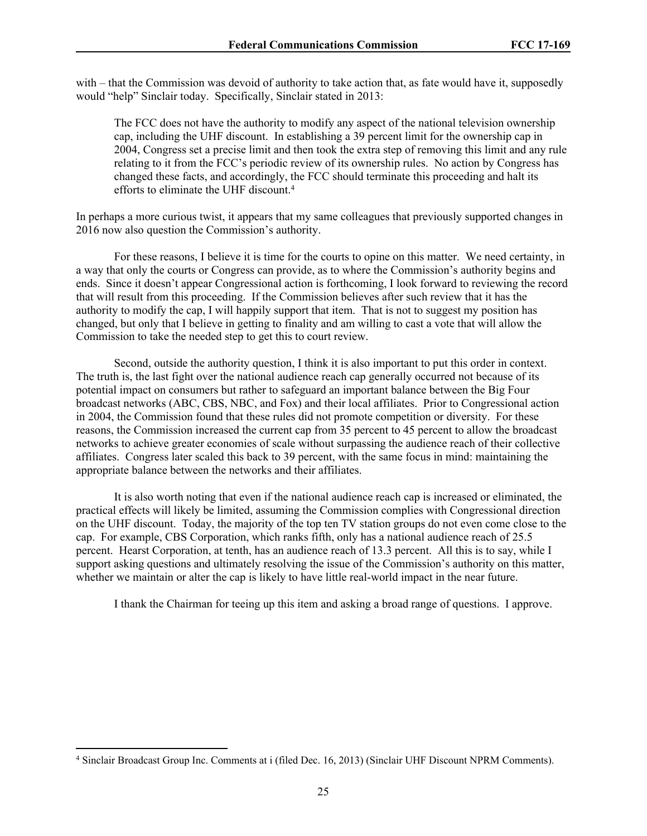with – that the Commission was devoid of authority to take action that, as fate would have it, supposedly would "help" Sinclair today. Specifically, Sinclair stated in 2013:

The FCC does not have the authority to modify any aspect of the national television ownership cap, including the UHF discount. In establishing a 39 percent limit for the ownership cap in 2004, Congress set a precise limit and then took the extra step of removing this limit and any rule relating to it from the FCC's periodic review of its ownership rules. No action by Congress has changed these facts, and accordingly, the FCC should terminate this proceeding and halt its efforts to eliminate the UHF discount.<sup>4</sup>

In perhaps a more curious twist, it appears that my same colleagues that previously supported changes in 2016 now also question the Commission's authority.

For these reasons, I believe it is time for the courts to opine on this matter. We need certainty, in a way that only the courts or Congress can provide, as to where the Commission's authority begins and ends. Since it doesn't appear Congressional action is forthcoming, I look forward to reviewing the record that will result from this proceeding. If the Commission believes after such review that it has the authority to modify the cap, I will happily support that item. That is not to suggest my position has changed, but only that I believe in getting to finality and am willing to cast a vote that will allow the Commission to take the needed step to get this to court review.

Second, outside the authority question, I think it is also important to put this order in context. The truth is, the last fight over the national audience reach cap generally occurred not because of its potential impact on consumers but rather to safeguard an important balance between the Big Four broadcast networks (ABC, CBS, NBC, and Fox) and their local affiliates. Prior to Congressional action in 2004, the Commission found that these rules did not promote competition or diversity. For these reasons, the Commission increased the current cap from 35 percent to 45 percent to allow the broadcast networks to achieve greater economies of scale without surpassing the audience reach of their collective affiliates. Congress later scaled this back to 39 percent, with the same focus in mind: maintaining the appropriate balance between the networks and their affiliates.

It is also worth noting that even if the national audience reach cap is increased or eliminated, the practical effects will likely be limited, assuming the Commission complies with Congressional direction on the UHF discount. Today, the majority of the top ten TV station groups do not even come close to the cap. For example, CBS Corporation, which ranks fifth, only has a national audience reach of 25.5 percent. Hearst Corporation, at tenth, has an audience reach of 13.3 percent. All this is to say, while I support asking questions and ultimately resolving the issue of the Commission's authority on this matter, whether we maintain or alter the cap is likely to have little real-world impact in the near future.

I thank the Chairman for teeing up this item and asking a broad range of questions. I approve.

<sup>4</sup> Sinclair Broadcast Group Inc. Comments at i (filed Dec. 16, 2013) (Sinclair UHF Discount NPRM Comments).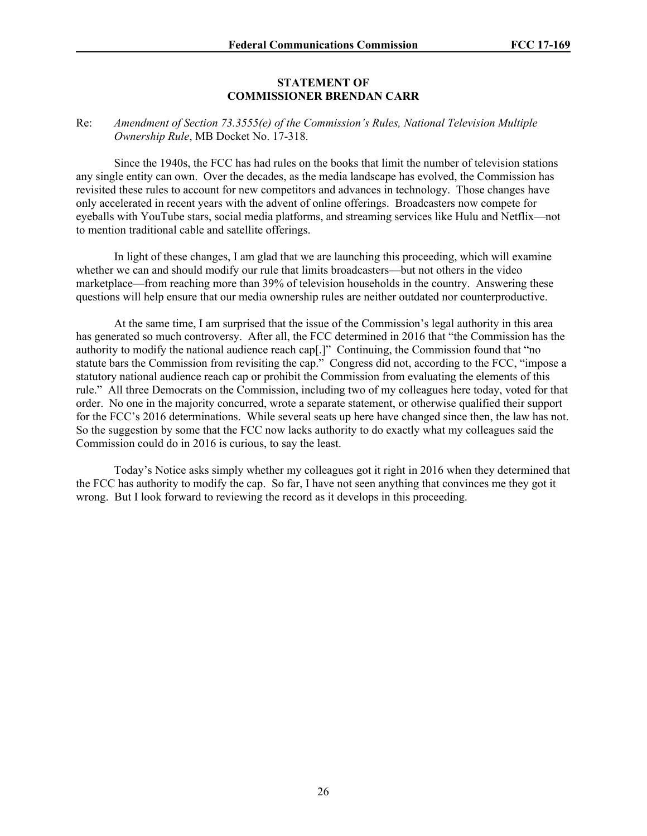#### **STATEMENT OF COMMISSIONER BRENDAN CARR**

#### Re: *Amendment of Section 73.3555(e) of the Commission's Rules, National Television Multiple Ownership Rule*, MB Docket No. 17-318.

Since the 1940s, the FCC has had rules on the books that limit the number of television stations any single entity can own. Over the decades, as the media landscape has evolved, the Commission has revisited these rules to account for new competitors and advances in technology. Those changes have only accelerated in recent years with the advent of online offerings. Broadcasters now compete for eyeballs with YouTube stars, social media platforms, and streaming services like Hulu and Netflix—not to mention traditional cable and satellite offerings.

In light of these changes, I am glad that we are launching this proceeding, which will examine whether we can and should modify our rule that limits broadcasters—but not others in the video marketplace—from reaching more than 39% of television households in the country. Answering these questions will help ensure that our media ownership rules are neither outdated nor counterproductive.

At the same time, I am surprised that the issue of the Commission's legal authority in this area has generated so much controversy. After all, the FCC determined in 2016 that "the Commission has the authority to modify the national audience reach cap[.]" Continuing, the Commission found that "no statute bars the Commission from revisiting the cap." Congress did not, according to the FCC, "impose a statutory national audience reach cap or prohibit the Commission from evaluating the elements of this rule." All three Democrats on the Commission, including two of my colleagues here today, voted for that order. No one in the majority concurred, wrote a separate statement, or otherwise qualified their support for the FCC's 2016 determinations. While several seats up here have changed since then, the law has not. So the suggestion by some that the FCC now lacks authority to do exactly what my colleagues said the Commission could do in 2016 is curious, to say the least.

Today's Notice asks simply whether my colleagues got it right in 2016 when they determined that the FCC has authority to modify the cap. So far, I have not seen anything that convinces me they got it wrong. But I look forward to reviewing the record as it develops in this proceeding.